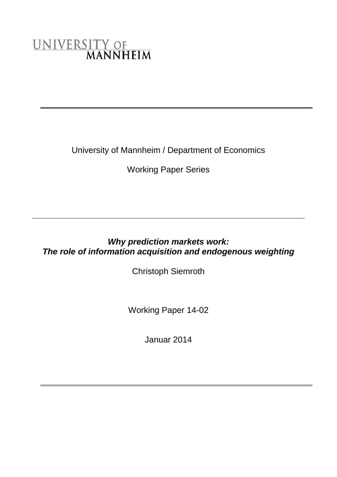# UNIVERSITY OF MANNHEIM

University of Mannheim / Department of Economics

Working Paper Series

## *Why prediction markets work: The role of information acquisition and endogenous weighting*

Christoph Siemroth

Working Paper 14-02

Januar 2014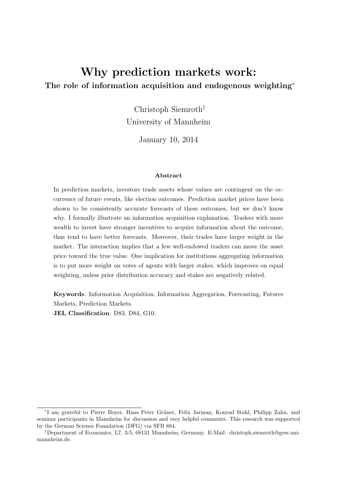# Why prediction markets work: The role of information acquisition and endogenous weighting<sup>\*</sup>

Christoph Siemroth† University of Mannheim

January 10, 2014

#### Abstract

In prediction markets, investors trade assets whose values are contingent on the occurrence of future events, like election outcomes. Prediction market prices have been shown to be consistently accurate forecasts of these outcomes, but we don't know why. I formally illustrate an information acquisition explanation. Traders with more wealth to invest have stronger incentives to acquire information about the outcome, thus tend to have better forecasts. Moreover, their trades have larger weight in the market. The interaction implies that a few well-endowed traders can move the asset price toward the true value. One implication for institutions aggregating information is to put more weight on votes of agents with larger stakes, which improves on equal weighting, unless prior distribution accuracy and stakes are negatively related.

Keywords: Information Acquisition, Information Aggregation, Forecasting, Futures Markets, Prediction Markets.

JEL Classification: D83, D84, G10.

<sup>\*</sup>I am grateful to Pierre Boyer, Hans Peter Grüner, Felix Jarman, Konrad Stahl, Philipp Zahn, and seminar participants in Mannheim for discussion and very helpful comments. This research was supported by the German Science Foundation (DFG) via SFB 884.

<sup>†</sup>Department of Economics, L7, 3-5, 68131 Mannheim, Germany. E-Mail: christoph.siemroth@gess.unimannheim.de.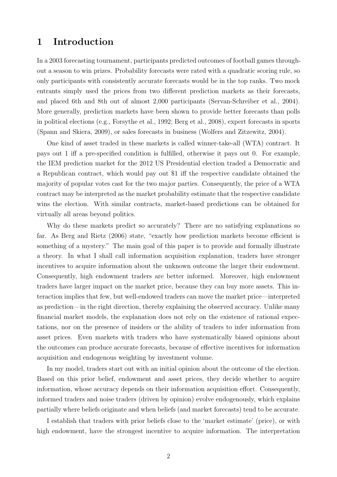## 1 Introduction

In a 2003 forecasting tournament, participants predicted outcomes of football games throughout a season to win prizes. Probability forecasts were rated with a quadratic scoring rule, so only participants with consistently accurate forecasts would be in the top ranks. Two mock entrants simply used the prices from two different prediction markets as their forecasts, and placed 6th and 8th out of almost 2,000 participants [\(Servan-Schreiber et al., 2004\)](#page-32-0). More generally, prediction markets have been shown to provide better forecasts than polls in political elections (e.g., [Forsythe et al., 1992;](#page-31-0) [Berg et al., 2008\)](#page-31-1), expert forecasts in sports [\(Spann and Skiera, 2009\)](#page-32-1), or sales forecasts in business [\(Wolfers and Zitzewitz, 2004\)](#page-32-2).

One kind of asset traded in these markets is called winner-take-all (WTA) contract. It pays out 1 iff a pre-specified condition is fulfilled, otherwise it pays out 0. For example, the IEM prediction market for the 2012 US Presidential election traded a Democratic and a Republican contract, which would pay out \$1 iff the respective candidate obtained the majority of popular votes cast for the two major parties. Consequently, the price of a WTA contract may be interpreted as the market probability estimate that the respective candidate wins the election. With similar contracts, market-based predictions can be obtained for virtually all areas beyond politics.

Why do these markets predict so accurately? There are no satisfying explanations so far. As [Berg and Rietz](#page-31-2) [\(2006\)](#page-31-2) state, "exactly how prediction markets become efficient is something of a mystery." The main goal of this paper is to provide and formally illustrate a theory. In what I shall call information acquisition explanation, traders have stronger incentives to acquire information about the unknown outcome the larger their endowment. Consequently, high endowment traders are better informed. Moreover, high endowment traders have larger impact on the market price, because they can buy more assets. This interaction implies that few, but well-endowed traders can move the market price—interpreted as prediction—in the right direction, thereby explaining the observed accuracy. Unlike many financial market models, the explanation does not rely on the existence of rational expectations, nor on the presence of insiders or the ability of traders to infer information from asset prices. Even markets with traders who have systematically biased opinions about the outcomes can produce accurate forecasts, because of effective incentives for information acquisition and endogenous weighting by investment volume.

In my model, traders start out with an initial opinion about the outcome of the election. Based on this prior belief, endowment and asset prices, they decide whether to acquire information, whose accuracy depends on their information acquisition effort. Consequently, informed traders and noise traders (driven by opinion) evolve endogenously, which explains partially where beliefs originate and when beliefs (and market forecasts) tend to be accurate.

I establish that traders with prior beliefs close to the 'market estimate' (price), or with high endowment, have the strongest incentive to acquire information. The interpretation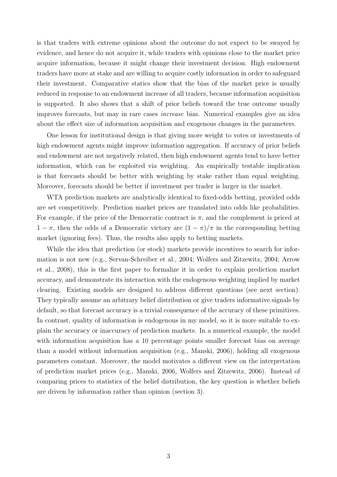is that traders with extreme opinions about the outcome do not expect to be swayed by evidence, and hence do not acquire it, while traders with opinions close to the market price acquire information, because it might change their investment decision. High endowment traders have more at stake and are willing to acquire costly information in order to safeguard their investment. Comparative statics show that the bias of the market price is usually reduced in response to an endowment increase of all traders, because information acquisition is supported. It also shows that a shift of prior beliefs toward the true outcome usually improves forecasts, but may in rare cases increase bias. Numerical examples give an idea about the effect size of information acquisition and exogenous changes in the parameters.

One lesson for institutional design is that giving more weight to votes or investments of high endowment agents might improve information aggregation. If accuracy of prior beliefs and endowment are not negatively related, then high endowment agents tend to have better information, which can be exploited via weighting. An empirically testable implication is that forecasts should be better with weighting by stake rather than equal weighting. Moreover, forecasts should be better if investment per trader is larger in the market.

WTA prediction markets are analytically identical to fixed-odds betting, provided odds are set competitively. Prediction market prices are translated into odds like probabilities. For example, if the price of the Democratic contract is  $\pi$ , and the complement is priced at  $1 - \pi$ , then the odds of a Democratic victory are  $(1 - \pi)/\pi$  in the corresponding betting market (ignoring fees). Thus, the results also apply to betting markets.

While the idea that prediction (or stock) markets provide incentives to search for information is not new (e.g., [Servan-Schreiber et al., 2004;](#page-32-0) [Wolfers and Zitzewitz, 2004;](#page-32-2) [Arrow](#page-30-0) [et al., 2008\)](#page-30-0), this is the first paper to formalize it in order to explain prediction market accuracy, and demonstrate its interaction with the endogenous weighting implied by market clearing. Existing models are designed to address different questions (see next section). They typically assume an arbitrary belief distribution or give traders informative signals by default, so that forecast accuracy is a trivial consequence of the accuracy of these primitives. In contrast, quality of information is endogenous in my model, so it is more suitable to explain the accuracy or inaccuracy of prediction markets. In a numerical example, the model with information acquisition has a 10 percentage points smaller forecast bias on average than a model without information acquisition (e.g., [Manski, 2006\)](#page-31-3), holding all exogenous parameters constant. Moreover, the model motivates a different view on the interpretation of prediction market prices (e.g., [Manski, 2006,](#page-31-3) [Wolfers and Zitzewitz, 2006\)](#page-32-3). Instead of comparing prices to statistics of the belief distribution, the key question is whether beliefs are driven by information rather than opinion (section [3\)](#page-21-0).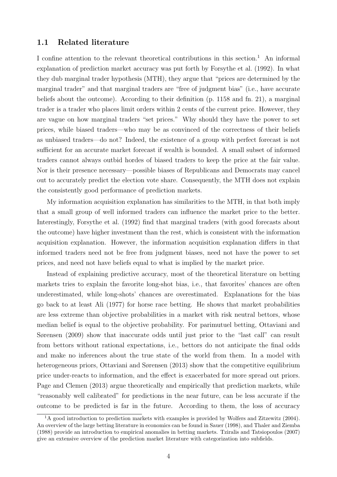#### 1.1 Related literature

I confine attention to the relevant theoretical contributions in this section.<sup>[1](#page-4-0)</sup> An informal explanation of prediction market accuracy was put forth by [Forsythe et al.](#page-31-0) [\(1992\)](#page-31-0). In what they dub marginal trader hypothesis (MTH), they argue that "prices are determined by the marginal trader" and that marginal traders are "free of judgment bias" (i.e., have accurate beliefs about the outcome). According to their definition (p. 1158 and fn. 21), a marginal trader is a trader who places limit orders within 2 cents of the current price. However, they are vague on how marginal traders "set prices." Why should they have the power to set prices, while biased traders—who may be as convinced of the correctness of their beliefs as unbiased traders—do not? Indeed, the existence of a group with perfect forecast is not sufficient for an accurate market forecast if wealth is bounded. A small subset of informed traders cannot always outbid hordes of biased traders to keep the price at the fair value. Nor is their presence necessary—possible biases of Republicans and Democrats may cancel out to accurately predict the election vote share. Consequently, the MTH does not explain the consistently good performance of prediction markets.

My information acquisition explanation has similarities to the MTH, in that both imply that a small group of well informed traders can influence the market price to the better. Interestingly, [Forsythe et al.](#page-31-0) [\(1992\)](#page-31-0) find that marginal traders (with good forecasts about the outcome) have higher investment than the rest, which is consistent with the information acquisition explanation. However, the information acquisition explanation differs in that informed traders need not be free from judgment biases, need not have the power to set prices, and need not have beliefs equal to what is implied by the market price.

Instead of explaining predictive accuracy, most of the theoretical literature on betting markets tries to explain the favorite long-shot bias, i.e., that favorites' chances are often underestimated, while long-shots' chances are overestimated. Explanations for the bias go back to at least [Ali](#page-30-1) [\(1977\)](#page-30-1) for horse race betting. He shows that market probabilities are less extreme than objective probabilities in a market with risk neutral bettors, whose median belief is equal to the objective probability. For parimutuel betting, [Ottaviani and](#page-31-4) [Sørensen](#page-31-4) [\(2009\)](#page-31-4) show that inaccurate odds until just prior to the "last call" can result from bettors without rational expectations, i.e., bettors do not anticipate the final odds and make no inferences about the true state of the world from them. In a model with heterogeneous priors, [Ottaviani and Sørensen](#page-31-5) [\(2013\)](#page-31-5) show that the competitive equilibrium price under-reacts to information, and the effect is exacerbated for more spread out priors. [Page and Clemen](#page-31-6) [\(2013\)](#page-31-6) argue theoretically and empirically that prediction markets, while "reasonably well calibrated" for predictions in the near future, can be less accurate if the outcome to be predicted is far in the future. According to them, the loss of accuracy

<span id="page-4-0"></span><sup>&</sup>lt;sup>1</sup>A good introduction to prediction markets with examples is provided by [Wolfers and Zitzewitz](#page-32-2) [\(2004\)](#page-32-2). An overview of the large betting literature in economics can be found in [Sauer](#page-32-4) [\(1998\)](#page-32-4), and [Thaler and Ziemba](#page-32-5) [\(1988\)](#page-32-5) provide an introduction to empirical anomalies in betting markets. [Tziralis and Tatsiopoulos](#page-32-6) [\(2007\)](#page-32-6) give an extensive overview of the prediction market literature with categorization into subfields.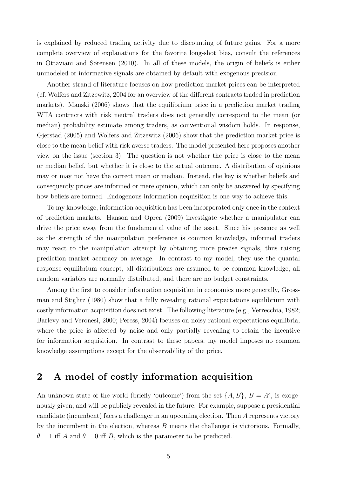is explained by reduced trading activity due to discounting of future gains. For a more complete overview of explanations for the favorite long-shot bias, consult the references in [Ottaviani and Sørensen](#page-31-7) [\(2010\)](#page-31-7). In all of these models, the origin of beliefs is either unmodeled or informative signals are obtained by default with exogenous precision.

Another strand of literature focuses on how prediction market prices can be interpreted (cf. [Wolfers and Zitzewitz, 2004](#page-32-2) for an overview of the different contracts traded in prediction markets). [Manski](#page-31-3) [\(2006\)](#page-31-3) shows that the equilibrium price in a prediction market trading WTA contracts with risk neutral traders does not generally correspond to the mean (or median) probability estimate among traders, as conventional wisdom holds. In response, [Gjerstad](#page-31-8) [\(2005\)](#page-31-8) and [Wolfers and Zitzewitz](#page-32-3) [\(2006\)](#page-32-3) show that the prediction market price is close to the mean belief with risk averse traders. The model presented here proposes another view on the issue (section [3\)](#page-21-0). The question is not whether the price is close to the mean or median belief, but whether it is close to the actual outcome. A distribution of opinions may or may not have the correct mean or median. Instead, the key is whether beliefs and consequently prices are informed or mere opinion, which can only be answered by specifying how beliefs are formed. Endogenous information acquisition is one way to achieve this.

To my knowledge, information acquisition has been incorporated only once in the context of prediction markets. [Hanson and Oprea](#page-31-9) [\(2009\)](#page-31-9) investigate whether a manipulator can drive the price away from the fundamental value of the asset. Since his presence as well as the strength of the manipulation preference is common knowledge, informed traders may react to the manipulation attempt by obtaining more precise signals, thus raising prediction market accuracy on average. In contrast to my model, they use the quantal response equilibrium concept, all distributions are assumed to be common knowledge, all random variables are normally distributed, and there are no budget constraints.

Among the first to consider information acquisition in economics more generally, [Gross](#page-31-10)[man and Stiglitz](#page-31-10) [\(1980\)](#page-31-10) show that a fully revealing rational expectations equilibrium with costly information acquisition does not exist. The following literature (e.g., [Verrecchia, 1982;](#page-32-7) [Barlevy and Veronesi, 2000;](#page-31-11) [Peress, 2004\)](#page-32-8) focuses on noisy rational expectations equilibria, where the price is affected by noise and only partially revealing to retain the incentive for information acquisition. In contrast to these papers, my model imposes no common knowledge assumptions except for the observability of the price.

## 2 A model of costly information acquisition

An unknown state of the world (briefly 'outcome') from the set  $\{A, B\}$ ,  $B = A^c$ , is exogenously given, and will be publicly revealed in the future. For example, suppose a presidential candidate (incumbent) faces a challenger in an upcoming election. Then A represents victory by the incumbent in the election, whereas  $B$  means the challenger is victorious. Formally,  $\theta = 1$  iff A and  $\theta = 0$  iff B, which is the parameter to be predicted.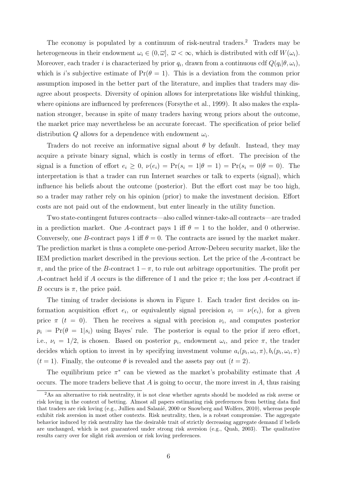The economy is populated by a continuum of risk-neutral traders.<sup>[2](#page-6-0)</sup> Traders may be heterogeneous in their endowment  $\omega_i \in (0, \overline{\omega}]$ ,  $\overline{\omega} < \infty$ , which is distributed with cdf  $W(\omega_i)$ . Moreover, each trader *i* is characterized by prior  $q_i$ , drawn from a continuous cdf  $Q(q_i|\theta,\omega_i)$ , which is i's subjective estimate of  $Pr(\theta = 1)$ . This is a deviation from the common prior assumption imposed in the better part of the literature, and implies that traders may disagree about prospects. Diversity of opinion allows for interpretations like wishful thinking, where opinions are influenced by preferences [\(Forsythe et al., 1999\)](#page-31-12). It also makes the explanation stronger, because in spite of many traders having wrong priors about the outcome, the market price may nevertheless be an accurate forecast. The specification of prior belief distribution Q allows for a dependence with endowment  $\omega_i$ .

Traders do not receive an informative signal about  $\theta$  by default. Instead, they may acquire a private binary signal, which is costly in terms of effort. The precision of the signal is a function of effort  $e_i \geq 0$ ,  $\nu(e_i) = \Pr(s_i = 1 | \theta = 1) = \Pr(s_i = 0 | \theta = 0)$ . The interpretation is that a trader can run Internet searches or talk to experts (signal), which influence his beliefs about the outcome (posterior). But the effort cost may be too high, so a trader may rather rely on his opinion (prior) to make the investment decision. Effort costs are not paid out of the endowment, but enter linearly in the utility function.

Two state-contingent futures contracts—also called winner-take-all contracts—are traded in a prediction market. One A-contract pays 1 iff  $\theta = 1$  to the holder, and 0 otherwise. Conversely, one B-contract pays 1 iff  $\theta = 0$ . The contracts are issued by the market maker. The prediction market is thus a complete one-period Arrow-Debreu security market, like the IEM prediction market described in the previous section. Let the price of the A-contract be  $\pi$ , and the price of the B-contract  $1 - \pi$ , to rule out arbitrage opportunities. The profit per A-contract held if A occurs is the difference of 1 and the price  $\pi$ ; the loss per A-contract if B occurs is  $\pi$ , the price paid.

The timing of trader decisions is shown in Figure [1.](#page-7-0) Each trader first decides on information acquisition effort  $e_i$ , or equivalently signal precision  $\nu_i := \nu(e_i)$ , for a given price  $\pi$  ( $t = 0$ ). Then he receives a signal with precision  $\nu_i$ , and computes posterior  $p_i := \Pr(\theta = 1 | s_i)$  using Bayes' rule. The posterior is equal to the prior if zero effort, i.e.,  $\nu_i = 1/2$ , is chosen. Based on posterior  $p_i$ , endowment  $\omega_i$ , and price  $\pi$ , the trader decides which option to invest in by specifying investment volume  $a_i(p_i, \omega_i, \pi), b_i(p_i, \omega_i, \pi)$  $(t = 1)$ . Finally, the outcome  $\theta$  is revealed and the assets pay out  $(t = 2)$ .

The equilibrium price  $\pi^*$  can be viewed as the market's probability estimate that A occurs. The more traders believe that  $A$  is going to occur, the more invest in  $A$ , thus raising

<span id="page-6-0"></span><sup>&</sup>lt;sup>2</sup>As an alternative to risk neutrality, it is not clear whether agents should be modeled as risk averse or risk loving in the context of betting. Almost all papers estimating risk preferences from betting data find that traders are risk loving (e.g., Jullien and Salanié, 2000 or [Snowberg and Wolfers, 2010\)](#page-32-9), whereas people exhibit risk aversion in most other contexts. Risk neutrality, then, is a robust compromise. The aggregate behavior induced by risk neutrality has the desirable trait of strictly decreasing aggregate demand if beliefs are unchanged, which is not guaranteed under strong risk aversion (e.g., [Quah, 2003\)](#page-32-10). The qualitative results carry over for slight risk aversion or risk loving preferences.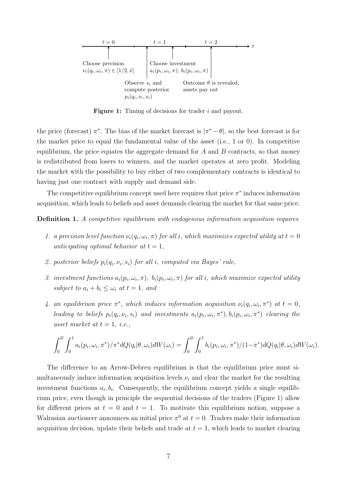<span id="page-7-0"></span>

Figure 1: Timing of decisions for trader i and payout.

the price (forecast)  $\pi^*$ . The bias of the market forecast is  $|\pi^* - \theta|$ , so the best forecast is for the market price to equal the fundamental value of the asset (i.e., 1 or 0). In competitive equilibrium, the price equates the aggregate demand for  $A$  and  $B$  contracts, so that money is redistributed from losers to winners, and the market operates at zero profit. Modeling the market with the possibility to buy either of two complementary contracts is identical to having just one contract with supply and demand side.

The competitive equilibrium concept used here requires that price  $\pi^*$  induces information acquisition, which leads to beliefs and asset demands clearing the market for that same price.

<span id="page-7-1"></span>Definition 1. A competitive equilibrium with endogenous information acquisition requires

- 1. a precision level function  $\nu_i(q_i,\omega_i,\pi)$  for all i, which maximizes expected utility at  $t=0$ anticipating optimal behavior at  $t = 1$ ,
- 2. posterior beliefs  $p_i(q_i, \nu_i, s_i)$  for all i, computed via Bayes' rule,
- 3. investment functions  $a_i(p_i, \omega_i, \pi)$ ,  $b_i(p_i, \omega_i, \pi)$  for all i, which maximize expected utility subject to  $a_i + b_i \leq \omega_i$  at  $t = 1$ , and
- 4. an equilibrium price  $\pi^*$ , which induces information acquisition  $\nu_i(q_i,\omega_i,\pi^*)$  at  $t=0$ , leading to beliefs  $p_i(q_i, \nu_i, s_i)$  and investments  $a_i(p_i, \omega_i, \pi^*)$ ,  $b_i(p_i, \omega_i, \pi^*)$  clearing the asset market at  $t = 1$ , *i.e.*,

$$
\int_0^{\overline{\omega}} \int_0^1 a_i(p_i, \omega_i, \pi^*)/\pi^* dQ(q_i|\theta, \omega_i) dW(\omega_i) = \int_0^{\overline{\omega}} \int_0^1 b_i(p_i, \omega_i, \pi^*)/(1-\pi^*) dQ(q_i|\theta, \omega_i) dW(\omega_i).
$$

The difference to an Arrow-Debreu equilibrium is that the equilibrium price must simultaneously induce information acquisition levels  $\nu_i$  and clear the market for the resulting investment functions  $a_i, b_i$ . Consequently, the equilibrium concept yields a single equilibrium price, even though in principle the sequential decisions of the traders (Figure [1\)](#page-7-0) allow for different prices at  $t = 0$  and  $t = 1$ . To motivate this equilibrium notion, suppose a Walrasian auctioneer announces an initial price  $\pi^0$  at  $t=0$ . Traders make their information acquisition decision, update their beliefs and trade at  $t = 1$ , which leads to market clearing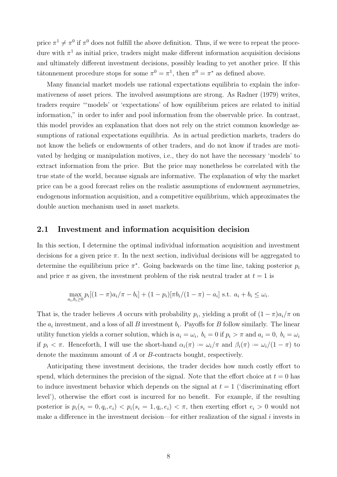price  $\pi^1 \neq \pi^0$  if  $\pi^0$  does not fulfill the above definition. Thus, if we were to repeat the procedure with  $\pi^1$  as initial price, traders might make different information acquisition decisions and ultimately different investment decisions, possibly leading to yet another price. If this tâtonnement procedure stops for some  $\pi^0 = \pi^1$ , then  $\pi^0 = \pi^*$  as defined above.

Many financial market models use rational expectations equilibria to explain the informativeness of asset prices. The involved assumptions are strong. As [Radner](#page-32-11) [\(1979\)](#page-32-11) writes, traders require "'models' or 'expectations' of how equilibrium prices are related to initial information," in order to infer and pool information from the observable price. In contrast, this model provides an explanation that does not rely on the strict common knowledge assumptions of rational expectations equilibria. As in actual prediction markets, traders do not know the beliefs or endowments of other traders, and do not know if trades are motivated by hedging or manipulation motives, i.e., they do not have the necessary 'models' to extract information from the price. But the price may nonetheless be correlated with the true state of the world, because signals are informative. The explanation of why the market price can be a good forecast relies on the realistic assumptions of endowment asymmetries, endogenous information acquisition, and a competitive equilibrium, which approximates the double auction mechanism used in asset markets.

#### 2.1 Investment and information acquisition decision

In this section, I determine the optimal individual information acquisition and investment decisions for a given price  $\pi$ . In the next section, individual decisions will be aggregated to determine the equilibrium price  $\pi^*$ . Going backwards on the time line, taking posterior  $p_i$ and price  $\pi$  as given, the investment problem of the risk neutral trader at  $t = 1$  is

$$
\max_{a_i, b_i \ge 0} p_i [(1 - \pi) a_i / \pi - b_i] + (1 - p_i) [\pi b_i / (1 - \pi) - a_i] \text{ s.t. } a_i + b_i \le \omega_i.
$$

That is, the trader believes A occurs with probability  $p_i$ , yielding a profit of  $(1 - \pi)a_i/\pi$  on the  $a_i$  investment, and a loss of all B investment  $b_i$ . Payoffs for B follow similarly. The linear utility function yields a corner solution, which is  $a_i = \omega_i$ ,  $b_i = 0$  if  $p_i > \pi$  and  $a_i = 0$ ,  $b_i = \omega_i$ if  $p_i < \pi$ . Henceforth, I will use the short-hand  $\alpha_i(\pi) := \omega_i/\pi$  and  $\beta_i(\pi) := \omega_i/(1-\pi)$  to denote the maximum amount of A or B-contracts bought, respectively.

Anticipating these investment decisions, the trader decides how much costly effort to spend, which determines the precision of the signal. Note that the effort choice at  $t = 0$  has to induce investment behavior which depends on the signal at  $t = 1$  ('discriminating effort level'), otherwise the effort cost is incurred for no benefit. For example, if the resulting posterior is  $p_i(s_i = 0, q_i, e_i) < p_i(s_i = 1, q_i, e_i) < \pi$ , then exerting effort  $e_i > 0$  would not make a difference in the investment decision—for either realization of the signal i invests in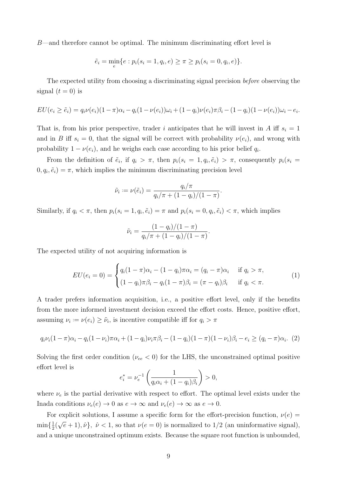B—and therefore cannot be optimal. The minimum discriminating effort level is

$$
\tilde{e}_i = \min_e \{ e : p_i(s_i = 1, q_i, e) \ge \pi \ge p_i(s_i = 0, q_i, e) \}.
$$

The expected utility from choosing a discriminating signal precision before observing the signal  $(t = 0)$  is

$$
EU(e_i \geq \tilde{e}_i) = q_i \nu(e_i)(1-\pi)\alpha_i - q_i(1-\nu(e_i))\omega_i + (1-q_i)\nu(e_i)\pi\beta_i - (1-q_i)(1-\nu(e_i))\omega_i - e_i.
$$

That is, from his prior perspective, trader i anticipates that he will invest in A iff  $s_i = 1$ and in B iff  $s_i = 0$ , that the signal will be correct with probability  $\nu(e_i)$ , and wrong with probability  $1 - \nu(e_i)$ , and he weighs each case according to his prior belief  $q_i$ .

From the definition of  $\tilde{e}_i$ , if  $q_i > \pi$ , then  $p_i(s_i = 1, q_i, \tilde{e}_i) > \pi$ , consequently  $p_i(s_i = 1, q_i, \tilde{e}_i)$  $(0, q_i, \tilde{e}_i) = \pi$ , which implies the minimum discriminating precision level

$$
\tilde{\nu}_i := \nu(\tilde{e}_i) = \frac{q_i/\pi}{q_i/\pi + (1-q_i)/(1-\pi)}.
$$

Similarly, if  $q_i < \pi$ , then  $p_i(s_i = 1, q_i, \tilde{e}_i) = \pi$  and  $p_i(s_i = 0, q_i, \tilde{e}_i) < \pi$ , which implies

$$
\tilde{\nu}_i = \frac{(1-q_i)/(1-\pi)}{q_i/\pi + (1-q_i)/(1-\pi)}.
$$

The expected utility of not acquiring information is

<span id="page-9-1"></span>
$$
EU(e_i = 0) = \begin{cases} q_i(1-\pi)\alpha_i - (1-q_i)\pi\alpha_i = (q_i - \pi)\alpha_i & \text{if } q_i > \pi, \\ (1-q_i)\pi\beta_i - q_i(1-\pi)\beta_i = (\pi - q_i)\beta_i & \text{if } q_i < \pi. \end{cases}
$$
(1)

A trader prefers information acquisition, i.e., a positive effort level, only if the benefits from the more informed investment decision exceed the effort costs. Hence, positive effort, assuming  $\nu_i := \nu(e_i) \geq \tilde{\nu}_i$ , is incentive compatible iff for  $q_i > \pi$ 

<span id="page-9-0"></span>
$$
q_i \nu_i (1 - \pi) \alpha_i - q_i (1 - \nu_i) \pi \alpha_i + (1 - q_i) \nu_i \pi \beta_i - (1 - q_i) (1 - \pi) (1 - \nu_i) \beta_i - e_i \ge (q_i - \pi) \alpha_i.
$$
 (2)

Solving the first order condition ( $\nu_{ee}$  < 0) for the LHS, the unconstrained optimal positive effort level is

$$
e_i^* = \nu_e^{-1} \left( \frac{1}{q_i \alpha_i + (1 - q_i)\beta_i} \right) > 0,
$$

where  $\nu_e$  is the partial derivative with respect to effort. The optimal level exists under the Inada conditions  $\nu_e(e) \to 0$  as  $e \to \infty$  and  $\nu_e(e) \to \infty$  as  $e \to 0$ .

For explicit solutions, I assume a specific form for the effort-precision function,  $\nu(e)$  $\min\{\frac{1}{2}$  $rac{1}{2}$  ( √  $\{e+1), \hat{\nu}\},\ \hat{\nu} < 1$ , so that  $\nu(e=0)$  is normalized to  $1/2$  (an uninformative signal), and a unique unconstrained optimum exists. Because the square root function is unbounded,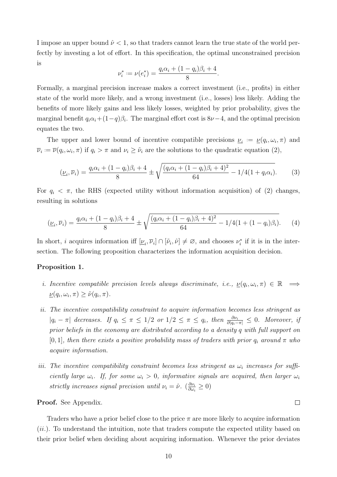I impose an upper bound  $\hat{\nu}$  < 1, so that traders cannot learn the true state of the world perfectly by investing a lot of effort. In this specification, the optimal unconstrained precision is

$$
\nu_i^* := \nu(e_i^*) = \frac{q_i \alpha_i + (1 - q_i)\beta_i + 4}{8}.
$$

Formally, a marginal precision increase makes a correct investment (i.e., profits) in either state of the world more likely, and a wrong investment (i.e., losses) less likely. Adding the benefits of more likely gains and less likely losses, weighted by prior probability, gives the marginal benefit  $q_i\alpha_i+(1-q)\beta_i$ . The marginal effort cost is  $8\nu-4$ , and the optimal precision equates the two.

The upper and lower bound of incentive compatible precisions  $\nu_i := \nu(q_i, \omega_i, \pi)$  and  $\overline{\nu}_i := \overline{\nu}(q_i, \omega_i, \pi)$  if  $q_i > \pi$  and  $\nu_i \geq \tilde{\nu}_i$  are the solutions to the quadratic equation [\(2\)](#page-9-0),

<span id="page-10-0"></span>
$$
(\underline{\nu}_i, \overline{\nu}_i) = \frac{q_i \alpha_i + (1 - q_i)\beta_i + 4}{8} \pm \sqrt{\frac{(q_i \alpha_i + (1 - q_i)\beta_i + 4)^2}{64} - 1/4(1 + q_i \alpha_i)}.
$$
 (3)

For  $q_i < \pi$ , the RHS (expected utility without information acquisition) of [\(2\)](#page-9-0) changes, resulting in solutions

<span id="page-10-2"></span>
$$
(\underline{\nu}_i, \overline{\nu}_i) = \frac{q_i \alpha_i + (1 - q_i)\beta_i + 4}{8} \pm \sqrt{\frac{(q_i \alpha_i + (1 - q_i)\beta_i + 4)^2}{64} - 1/4(1 + (1 - q_i)\beta_i)}.
$$
 (4)

In short, *i* acquires information iff  $[\underline{\nu}_i, \overline{\nu}_i] \cap [\tilde{\nu}_i, \hat{\nu}] \neq \emptyset$ , and chooses  $\nu_i^*$  if it is in the intersection. The following proposition characterizes the information acquisition decision.

#### <span id="page-10-1"></span>Proposition 1.

- *i.* Incentive compatible precision levels always discriminate, i.e.,  $\underline{\nu}(q_i, \omega_i, \pi) \in \mathbb{R} \implies$  $\underline{\nu}(q_i, \omega_i, \pi) \geq \tilde{\nu}(q_i, \pi).$
- ii. The incentive compatibility constraint to acquire information becomes less stringent as  $|q_i - \pi|$  decreases. If  $q_i \leq \pi \leq 1/2$  or  $1/2 \leq \pi \leq q_i$ , then  $\frac{\partial \nu_i}{\partial |q_i - \pi|} \leq 0$ . Moreover, if prior beliefs in the economy are distributed according to a density q with full support on [0, 1], then there exists a positive probability mass of traders with prior  $q_i$  around  $\pi$  who acquire information.
- iii. The incentive compatibility constraint becomes less stringent as  $\omega_i$  increases for sufficiently large  $\omega_i$ . If, for some  $\omega_i > 0$ , informative signals are acquired, then larger  $\omega_i$ strictly increases signal precision until  $\nu_i = \hat{\nu}$ .  $\left(\frac{\partial \nu_i}{\partial \omega_i}\right)$  $\frac{\partial \nu_i}{\partial \omega_i} \geq 0$

 $\Box$ 

Proof. See Appendix.

Traders who have a prior belief close to the price  $\pi$  are more likely to acquire information  $(ii.)$ . To understand the intuition, note that traders compute the expected utility based on their prior belief when deciding about acquiring information. Whenever the prior deviates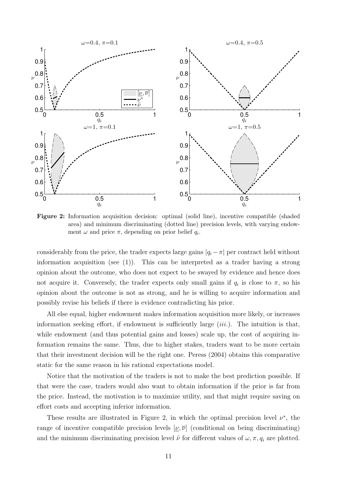<span id="page-11-0"></span>

'i ment  $\omega$  and price  $\pi$ , depending on prior belief  $q_i$ .  $\left( \epsilon \right)$ Figure 2: Information acquisition decision: optimal (solid line), incentive compatible (shaded area) and minimum discriminating (dotted line) precision levels, with varying endow-

t acquire it. Conversely, the trader ex  $\overline{1}$ information acquisition (see  $(1)$ ). This can be interpreted as a trader having a strong considerably from the price, the trader expects large  $\mathbf{q}$ m small gains if  $q_i$  is close to  $\pi$ , so his 0.5  $\ddot{\phantom{a}}$ considerably from the price, the trader expects large gains  $|q_i - \pi|$  per contract held without opinion about the outcome, who does not expect to be swayed by evidence and hence does not acquire it. Conversely, the trader expects only small gains if  $q_i$  is close to  $\pi$ , so his opinion about the outcome is not as strong, and he is willing to acquire information and possibly revise his beliefs if there is evidence contradicting his prior.

All else equal, higher endowment makes information acquisition more likely, or increases information seeking effort, if endowment is sufficiently large  $(iii)$ . The intuition is that, while endowment (and thus potential gains and losses) scale up, the cost of acquiring information remains the same. Thus, due to higher stakes, traders want to be more certain that their investment decision will be the right one. [Peress](#page-32-8) [\(2004\)](#page-32-8) obtains this comparative static for the same reason in his rational expectations model.

Notice that the motivation of the traders is not to make the best prediction possible. If that were the case, traders would also want to obtain information if the prior is far from the price. Instead, the motivation is to maximize utility, and that might require saving on effort costs and accepting inferior information.

These results are illustrated in Figure [2,](#page-11-0) in which the optimal precision level  $\nu^*$ , the range of incentive compatible precision levels  $[\nu, \overline{\nu}]$  (conditional on being discriminating) and the minimum discriminating precision level  $\tilde{\nu}$  for different values of  $\omega, \pi, q_i$  are plotted.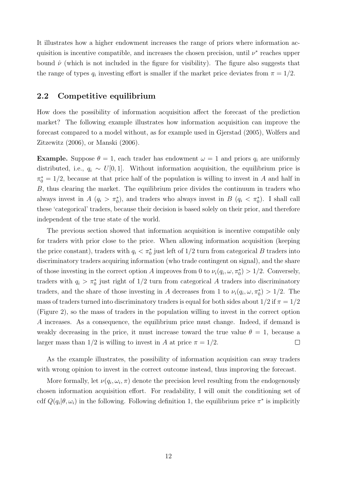It illustrates how a higher endowment increases the range of priors where information acquisition is incentive compatible, and increases the chosen precision, until  $\nu^*$  reaches upper bound  $\hat{\nu}$  (which is not included in the figure for visibility). The figure also suggests that the range of types  $q_i$  investing effort is smaller if the market price deviates from  $\pi = 1/2$ .

#### 2.2 Competitive equilibrium

How does the possibility of information acquisition affect the forecast of the prediction market? The following example illustrates how information acquisition can improve the forecast compared to a model without, as for example used in [Gjerstad](#page-31-8) [\(2005\)](#page-31-8), [Wolfers and](#page-32-3) [Zitzewitz](#page-32-3) [\(2006\)](#page-32-3), or [Manski](#page-31-3) [\(2006\)](#page-31-3).

**Example.** Suppose  $\theta = 1$ , each trader has endowment  $\omega = 1$  and priors  $q_i$  are uniformly distributed, i.e.,  $q_i \sim U[0, 1]$ . Without information acquisition, the equilibrium price is  $\pi_0^* = 1/2$ , because at that price half of the population is willing to invest in A and half in B, thus clearing the market. The equilibrium price divides the continuum in traders who always invest in A  $(q_i > \pi_0^*)$ , and traders who always invest in B  $(q_i < \pi_0^*)$ . I shall call these 'categorical' traders, because their decision is based solely on their prior, and therefore independent of the true state of the world.

The previous section showed that information acquisition is incentive compatible only for traders with prior close to the price. When allowing information acquisition (keeping the price constant), traders with  $q_i < \pi_0^*$  just left of 1/2 turn from categorical B traders into discriminatory traders acquiring information (who trade contingent on signal), and the share of those investing in the correct option A improves from 0 to  $\nu_i(q_i, \omega, \pi_0^*) > 1/2$ . Conversely, traders with  $q_i > \pi_0^*$  just right of 1/2 turn from categorical A traders into discriminatory traders, and the share of those investing in A decreases from 1 to  $\nu_i(q_i,\omega,\pi_0^*) > 1/2$ . The mass of traders turned into discriminatory traders is equal for both sides about  $1/2$  if  $\pi = 1/2$ (Figure [2\)](#page-11-0), so the mass of traders in the population willing to invest in the correct option A increases. As a consequence, the equilibrium price must change. Indeed, if demand is weakly decreasing in the price, it must increase toward the true value  $\theta = 1$ , because a larger mass than  $1/2$  is willing to invest in A at price  $\pi = 1/2$ .  $\Box$ 

As the example illustrates, the possibility of information acquisition can sway traders with wrong opinion to invest in the correct outcome instead, thus improving the forecast.

More formally, let  $\nu(q_i, \omega_i, \pi)$  denote the precision level resulting from the endogenously chosen information acquisition effort. For readability, I will omit the conditioning set of cdf  $Q(q_i|\theta,\omega_i)$  in the following. Following definition [1,](#page-7-1) the equilibrium price  $\pi^*$  is implicitly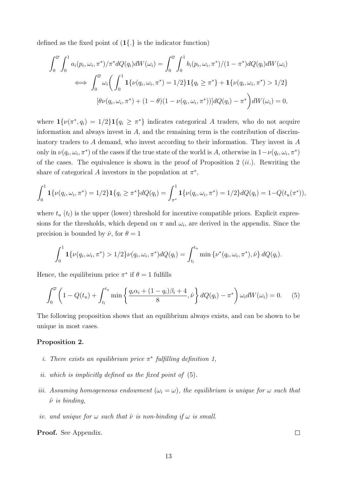defined as the fixed point of  $(1\{.\})$  is the indicator function)

$$
\int_0^{\overline{\omega}} \int_0^1 a_i(p_i, \omega_i, \pi^*) / \pi^* dQ(q_i) dW(\omega_i) = \int_0^{\overline{\omega}} \int_0^1 b_i(p_i, \omega_i, \pi^*) / (1 - \pi^*) dQ(q_i) dW(\omega_i)
$$
  
\n
$$
\iff \int_0^{\overline{\omega}} \omega_i \left( \int_0^1 \mathbf{1} \{ \nu(q_i, \omega_i, \pi^*) = 1/2 \} \mathbf{1} \{ q_i \ge \pi^* \} + \mathbf{1} \{ \nu(q_i, \omega_i, \pi^*) > 1/2 \}
$$
  
\n
$$
[\theta \nu(q_i, \omega_i, \pi^*) + (1 - \theta)(1 - \nu(q_i, \omega_i, \pi^*))] dQ(q_i) - \pi^* \right) dW(\omega_i) = 0,
$$

where  $\mathbf{1}\{\nu(\pi^*, q_i) = 1/2\} \mathbf{1}\{q_i \geq \pi^*\}\$  indicates categorical A traders, who do not acquire information and always invest in  $A$ , and the remaining term is the contribution of discriminatory traders to A demand, who invest according to their information. They invest in A only in  $\nu(q_i, \omega_i, \pi^*)$  of the cases if the true state of the world is A, otherwise in  $1-\nu(q_i, \omega_i, \pi^*)$ of the cases. The equivalence is shown in the proof of Proposition [2](#page-13-0)  $(ii.)$ . Rewriting the share of categorical A investors in the population at  $\pi^*$ ,

$$
\int_0^1 \mathbf{1}\{\nu(q_i,\omega_i,\pi^*)=1/2\} \mathbf{1}\{q_i \geq \pi^*\} dQ(q_i) = \int_{\pi^*}^1 \mathbf{1}\{\nu(q_i,\omega_i,\pi^*)=1/2\} dQ(q_i) = 1 - Q(t_u(\pi^*)),
$$

where  $t_u$  ( $t_l$ ) is the upper (lower) threshold for incentive compatible priors. Explicit expressions for the thresholds, which depend on  $\pi$  and  $\omega_i$ , are derived in the appendix. Since the precision is bounded by  $\hat{\nu}$ , for  $\theta = 1$ 

$$
\int_0^1 \mathbf{1}\{\nu(q_i,\omega_i,\pi^*) > 1/2\} \nu(q_i,\omega_i,\pi^*) dQ(q_i) = \int_{t_l}^{t_u} \min \{\nu^*(q_i,\omega_i,\pi^*),\hat{\nu}\} dQ(q_i).
$$

Hence, the equilibrium price  $\pi^*$  if  $\theta = 1$  fulfills

<span id="page-13-1"></span>
$$
\int_0^{\overline{\omega}} \left( 1 - Q(t_u) + \int_{t_l}^{t_u} \min \left\{ \frac{q_i \alpha_i + (1 - q_i)\beta_i + 4}{8}, \hat{\nu} \right\} dQ(q_i) - \pi^* \right) \omega_i dW(\omega_i) = 0. \tag{5}
$$

The following proposition shows that an equilibrium always exists, and can be shown to be unique in most cases.

#### <span id="page-13-0"></span>Proposition 2.

- *i*. There exists an equilibrium price  $\pi^*$  fulfilling definition [1,](#page-7-1)
- ii. which is implicitly defined as the fixed point of [\(5\)](#page-13-1).
- iii. Assuming homogeneous endowment  $(\omega_i = \omega)$ , the equilibrium is unique for  $\omega$  such that  $\hat{\nu}$  is binding.
- iv. and unique for  $\omega$  such that  $\hat{\nu}$  is non-binding if  $\omega$  is small.

Proof. See Appendix.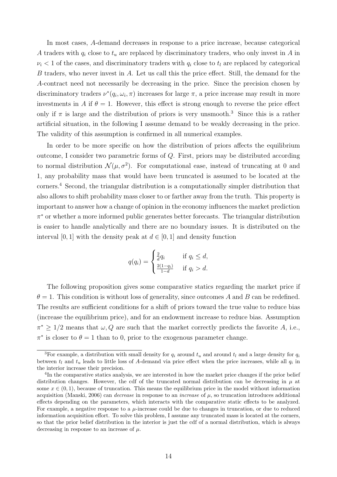In most cases, A-demand decreases in response to a price increase, because categorical A traders with  $q_i$  close to  $t_u$  are replaced by discriminatory traders, who only invest in A in  $\nu_i$  < 1 of the cases, and discriminatory traders with  $q_i$  close to  $t_l$  are replaced by categorical B traders, who never invest in A. Let us call this the price effect. Still, the demand for the A-contract need not necessarily be decreasing in the price. Since the precision chosen by discriminatory traders  $\nu^*(q_i, \omega_i, \pi)$  increases for large  $\pi$ , a price increase may result in more investments in A if  $\theta = 1$ . However, this effect is strong enough to reverse the price effect only if  $\pi$  is large and the distribution of priors is very unsmooth.<sup>[3](#page-14-0)</sup> Since this is a rather artificial situation, in the following I assume demand to be weakly decreasing in the price. The validity of this assumption is confirmed in all numerical examples.

In order to be more specific on how the distribution of priors affects the equilibrium outcome, I consider two parametric forms of Q. First, priors may be distributed according to normal distribution  $\mathcal{N}(\mu, \sigma^2)$ . For computational ease, instead of truncating at 0 and 1, any probability mass that would have been truncated is assumed to be located at the corners.[4](#page-14-1) Second, the triangular distribution is a computationally simpler distribution that also allows to shift probability mass closer to or farther away from the truth. This property is important to answer how a change of opinion in the economy influences the market prediction π <sup>∗</sup> or whether a more informed public generates better forecasts. The triangular distribution is easier to handle analytically and there are no boundary issues. It is distributed on the interval [0, 1] with the density peak at  $d \in [0, 1]$  and density function

$$
q(q_i) = \begin{cases} \frac{2}{d}q_i & \text{if } q_i \leq d, \\ \frac{2(1-q_i)}{1-d} & \text{if } q_i > d. \end{cases}
$$

The following proposition gives some comparative statics regarding the market price if  $\theta = 1$ . This condition is without loss of generality, since outcomes A and B can be redefined. The results are sufficient conditions for a shift of priors toward the true value to reduce bias (increase the equilibrium price), and for an endowment increase to reduce bias. Assumption  $\pi^* \geq 1/2$  means that  $\omega, Q$  are such that the market correctly predicts the favorite A, i.e.,  $\pi^*$  is closer to  $\theta = 1$  than to 0, prior to the exogenous parameter change.

<span id="page-14-0"></span><sup>&</sup>lt;sup>3</sup>For example, a distribution with small density for  $q_i$  around  $t_u$  and around  $t_l$  and a large density for  $q_i$ between  $t_l$  and  $t_u$  leads to little loss of A-demand via price effect when the price increases, while all  $q_i$  in the interior increase their precision.

<span id="page-14-1"></span><sup>&</sup>lt;sup>4</sup>In the comparative statics analysis, we are interested in how the market price changes if the prior belief distribution changes. However, the cdf of the truncated normal distribution can be decreasing in  $\mu$  at some  $x \in (0, 1)$ , because of truncation. This means the equilibrium price in the model without information acquisition [\(Manski, 2006\)](#page-31-3) can *decrease* in response to an *increase* of  $\mu$ , so truncation introduces additional effects depending on the parameters, which interacts with the comparative static effects to be analyzed. For example, a negative response to a  $\mu$ -increase could be due to changes in truncation, or due to reduced information acquisition effort. To solve this problem, I assume any truncated mass is located at the corners, so that the prior belief distribution in the interior is just the cdf of a normal distribution, which is always decreasing in response to an increase of  $\mu$ .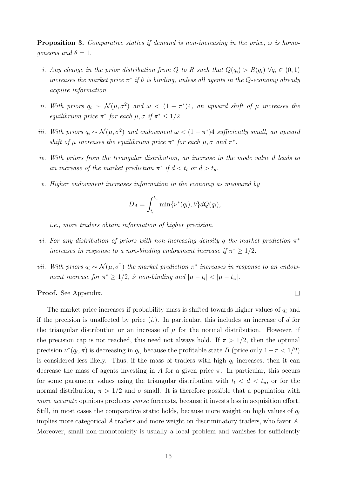<span id="page-15-0"></span>**Proposition 3.** Comparative statics if demand is non-increasing in the price,  $\omega$  is homogeneous and  $\theta = 1$ .

- i. Any change in the prior distribution from Q to R such that  $Q(q_i) > R(q_i) \ \forall q_i \in (0,1)$ increases the market price  $\pi^*$  if  $\hat{\nu}$  is binding, unless all agents in the Q-economy already acquire information.
- ii. With priors  $q_i \sim \mathcal{N}(\mu, \sigma^2)$  and  $\omega < (1 \pi^*)$ 4, an upward shift of  $\mu$  increases the equilibrium price  $\pi^*$  for each  $\mu, \sigma$  if  $\pi^* \leq 1/2$ .
- iii. With priors  $q_i \sim \mathcal{N}(\mu, \sigma^2)$  and endowment  $\omega < (1 \pi^*)$  sufficiently small, an upward shift of  $\mu$  increases the equilibrium price  $\pi^*$  for each  $\mu, \sigma$  and  $\pi^*$ .
- iv. With priors from the triangular distribution, an increase in the mode value d leads to an increase of the market prediction  $\pi^*$  if  $d < t_l$  or  $d > t_u$ .
- v. Higher endowment increases information in the economy as measured by

$$
D_A = \int_{t_l}^{t_u} \min{\lbrace \nu^*(q_i), \hat{\nu} \rbrace} dQ(q_i),
$$

i.e., more traders obtain information of higher precision.

- vi. For any distribution of priors with non-increasing density q the market prediction  $\pi^*$ increases in response to a non-binding endowment increase if  $\pi^* \geq 1/2$ .
- vii. With priors  $q_i \sim \mathcal{N}(\mu, \sigma^2)$  the market prediction  $\pi^*$  increases in response to an endowment increase for  $\pi^* \geq 1/2$ ,  $\hat{\nu}$  non-binding and  $|\mu - t_l| < |\mu - t_u|$ .

 $\Box$ 

Proof. See Appendix.

The market price increases if probability mass is shifted towards higher values of  $q_i$  and if the precision is unaffected by price  $(i)$ . In particular, this includes an increase of d for the triangular distribution or an increase of  $\mu$  for the normal distribution. However, if the precision cap is not reached, this need not always hold. If  $\pi > 1/2$ , then the optimal precision  $\nu^*(q_i, \pi)$  is decreasing in  $q_i$ , because the profitable state B (price only  $1-\pi < 1/2$ ) is considered less likely. Thus, if the mass of traders with high  $q_i$  increases, then it can decrease the mass of agents investing in A for a given price  $\pi$ . In particular, this occurs for some parameter values using the triangular distribution with  $t_l < d < t_u$ , or for the normal distribution,  $\pi > 1/2$  and  $\sigma$  small. It is therefore possible that a population with more accurate opinions produces worse forecasts, because it invests less in acquisition effort. Still, in most cases the comparative static holds, because more weight on high values of  $q_i$ implies more categorical A traders and more weight on discriminatory traders, who favor A. Moreover, small non-monotonicity is usually a local problem and vanishes for sufficiently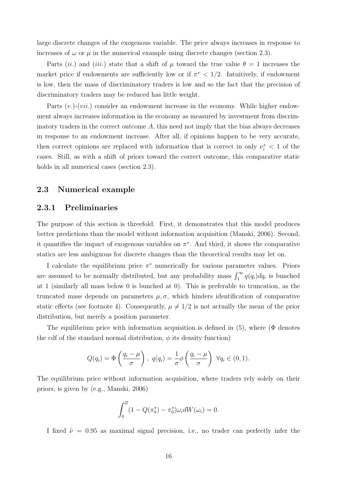large discrete changes of the exogenous variable. The price always increases in response to increases of  $\omega$  or  $\mu$  in the numerical example using discrete changes (section [2.3\)](#page-16-0).

Parts (ii.) and (iii.) state that a shift of  $\mu$  toward the true value  $\theta = 1$  increases the market price if endowments are sufficiently low or if  $\pi^*$  < 1/2. Intuitively, if endowment is low, then the mass of discriminatory traders is low and so the fact that the precision of discriminatory traders may be reduced has little weight.

Parts  $(v.)$ - $(vii.)$  consider an endowment increase in the economy. While higher endowment always increases information in the economy as measured by investment from discriminatory traders in the correct outcome  $A$ , this need not imply that the bias always decreases in response to an endowment increase. After all, if opinions happen to be very accurate, then correct opinions are replaced with information that is correct in only  $\nu_i^* < 1$  of the cases. Still, as with a shift of priors toward the correct outcome, this comparative static holds in all numerical cases (section [2.3\)](#page-16-0).

#### <span id="page-16-0"></span>2.3 Numerical example

#### 2.3.1 Preliminaries

The purpose of this section is threefold. First, it demonstrates that this model produces better predictions than the model without information acquisition [\(Manski, 2006\)](#page-31-3). Second, it quantifies the impact of exogenous variables on  $\pi^*$ . And third, it shows the comparative statics are less ambiguous for discrete changes than the theoretical results may let on.

I calculate the equilibrium price  $\pi^*$  numerically for various parameter values. Priors are assumed to be normally distributed, but any probability mass  $\int_1^{\infty} q(q_i) dq_i$  is bunched at 1 (similarly all mass below 0 is bunched at 0). This is preferable to truncation, as the truncated mass depends on parameters  $\mu, \sigma$ , which hinders identification of comparative static effects (see footnote [4\)](#page-14-1). Consequently,  $\mu \neq 1/2$  is not actually the mean of the prior distribution, but merely a position parameter.

The equilibrium price with information acquisition is defined in  $(5)$ , where ( $\Phi$  denotes the cdf of the standard normal distribution,  $\phi$  its density function)

$$
Q(q_i) = \Phi\left(\frac{q_i - \mu}{\sigma}\right), \ q(q_i) = \frac{1}{\sigma}\phi\left(\frac{q_i - \mu}{\sigma}\right) \ \forall q_i \in (0, 1).
$$

The equilibrium price without information acquisition, where traders rely solely on their priors, is given by (e.g., [Manski, 2006\)](#page-31-3)

$$
\int_0^{\overline{\omega}} (1 - Q(\pi_0^*) - \pi_0^*) \omega_i dW(\omega_i) = 0.
$$

I fixed  $\hat{\nu} = 0.95$  as maximal signal precision, i.e., no trader can perfectly infer the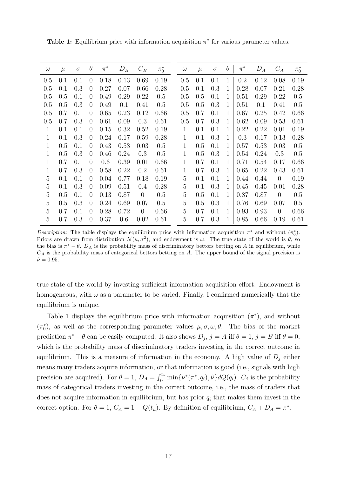| $\omega$ | $\mu$ | $\sigma$ | $\theta$       | $\pi^*$ | $D_B$ | $C_B$          | $\pi_0^*$ | $\omega$     | $\mu$ | $\sigma$ | $\theta$     | $\pi^*$ | $D_A$ | $C_A$          | $\pi_0^*$ |
|----------|-------|----------|----------------|---------|-------|----------------|-----------|--------------|-------|----------|--------------|---------|-------|----------------|-----------|
| 0.5      | 0.1   | 0.1      | $\overline{0}$ | 0.18    | 0.13  | 0.69           | 0.19      | 0.5          | 0.1   | 0.1      | 1            | 0.2     | 0.12  | 0.08           | 0.19      |
| 0.5      | 0.1   | 0.3      | 0              | 0.27    | 0.07  | 0.66           | 0.28      | 0.5          | 0.1   | 0.3      | $\mathbf{1}$ | 0.28    | 0.07  | 0.21           | 0.28      |
| 0.5      | 0.5   | 0.1      | $\theta$       | 0.49    | 0.29  | 0.22           | 0.5       | 0.5          | 0.5   | 0.1      | 1            | 0.51    | 0.29  | 0.22           | 0.5       |
| 0.5      | 0.5   | 0.3      | $\theta$       | 0.49    | 0.1   | 0.41           | 0.5       | 0.5          | 0.5   | 0.3      | 1            | 0.51    | 0.1   | 0.41           | 0.5       |
| 0.5      | 0.7   | 0.1      | $\theta$       | 0.65    | 0.23  | 0.12           | 0.66      | 0.5          | 0.7   | 0.1      | 1            | 0.67    | 0.25  | 0.42           | 0.66      |
| 0.5      | 0.7   | 0.3      | $\overline{0}$ | 0.61    | 0.09  | 0.3            | 0.61      | 0.5          | 0.7   | 0.3      | 1            | 0.62    | 0.09  | 0.53           | 0.61      |
| 1        | 0.1   | 0.1      | $\theta$       | 0.15    | 0.32  | 0.52           | 0.19      |              | 0.1   | 0.1      | 1            | 0.22    | 0.22  | 0.01           | 0.19      |
| 1        | 0.1   | 0.3      | $\theta$       | 0.24    | 0.17  | 0.59           | 0.28      | 1            | 0.1   | 0.3      | 1            | 0.3     | 0.17  | 0.13           | 0.28      |
| 1        | 0.5   | 0.1      | $\theta$       | 0.43    | 0.53  | 0.03           | 0.5       | 1            | 0.5   | 0.1      | 1            | 0.57    | 0.53  | 0.03           | 0.5       |
| 1        | 0.5   | 0.3      | $\theta$       | 0.46    | 0.24  | 0.3            | 0.5       | $\mathbf{1}$ | 0.5   | 0.3      | 1            | 0.54    | 0.24  | 0.3            | 0.5       |
| 1        | 0.7   | 0.1      | $\theta$       | 0.6     | 0.39  | 0.01           | 0.66      | 1            | 0.7   | 0.1      | 1            | 0.71    | 0.54  | 0.17           | 0.66      |
| 1        | 0.7   | 0.3      | $\theta$       | 0.58    | 0.22  | 0.2            | 0.61      | 1            | 0.7   | 0.3      | $\mathbf{1}$ | 0.65    | 0.22  | 0.43           | 0.61      |
| 5        | 0.1   | 0.1      | $\theta$       | 0.04    | 0.77  | 0.18           | 0.19      | 5            | 0.1   | 0.1      | 1            | 0.44    | 0.44  | $\theta$       | 0.19      |
| 5        | 0.1   | 0.3      | $\theta$       | 0.09    | 0.51  | 0.4            | 0.28      | 5            | 0.1   | 0.3      | 1            | 0.45    | 0.45  | 0.01           | 0.28      |
| 5        | 0.5   | 0.1      | $\theta$       | 0.13    | 0.87  | $\theta$       | 0.5       | 5            | 0.5   | 0.1      | 1            | 0.87    | 0.87  | $\overline{0}$ | 0.5       |
| 5        | 0.5   | 0.3      | 0              | 0.24    | 0.69  | 0.07           | 0.5       | 5            | 0.5   | 0.3      | 1            | 0.76    | 0.69  | 0.07           | 0.5       |
| 5        | 0.7   | 0.1      | $\theta$       | 0.28    | 0.72  | $\overline{0}$ | 0.66      | 5            | 0.7   | 0.1      | 1            | 0.93    | 0.93  | $\overline{0}$ | 0.66      |
| 5        | 0.7   | 0.3      | $\theta$       | 0.37    | 0.6   | 0.02           | 0.61      | 5            | 0.7   | 0.3      | 1            | 0.85    | 0.66  | 0.19           | 0.61      |

<span id="page-17-0"></span>**Table 1:** Equilibrium price with information acquisition  $\pi^*$  for various parameter values.

Description: The table displays the equilibrium price with information acquisition  $\pi^*$  and without  $(\pi_0^*)$ . Priors are drawn from distribution  $\mathcal{N}(\mu, \sigma^2)$ , and endowment is  $\omega$ . The true state of the world is  $\theta$ , so the bias is  $\pi^* - \theta$ .  $D_A$  is the probability mass of discriminatory bettors betting on A in equilibrium, while  $C_A$  is the probability mass of categorical bettors betting on A. The upper bound of the signal precision is  $\hat{\nu} = 0.95.$ 

true state of the world by investing sufficient information acquisition effort. Endowment is homogeneous, with  $\omega$  as a parameter to be varied. Finally, I confirmed numerically that the equilibrium is unique.

Table [1](#page-17-0) displays the equilibrium price with information acquisition  $(\pi^*)$ , and without  $(\pi_0^*)$ , as well as the corresponding parameter values  $\mu, \sigma, \omega, \theta$ . The bias of the market prediction  $\pi^* - \theta$  can be easily computed. It also shows  $D_j$ ,  $j = A$  iff  $\theta = 1$ ,  $j = B$  iff  $\theta = 0$ , which is the probability mass of discriminatory traders investing in the correct outcome in equilibrium. This is a measure of information in the economy. A high value of  $D_i$  either means many traders acquire information, or that information is good (i.e., signals with high precision are acquired). For  $\theta = 1$ ,  $D_A = \int_{t_l}^{t_u} \min{\{\nu^*(\pi^*, q_i), \hat{\nu}\}} dQ(q_i)$ .  $C_j$  is the probability mass of categorical traders investing in the correct outcome, i.e., the mass of traders that does not acquire information in equilibrium, but has prior  $q_i$  that makes them invest in the correct option. For  $\theta = 1$ ,  $C_A = 1 - Q(t_u)$ . By definition of equilibrium,  $C_A + D_A = \pi^*$ .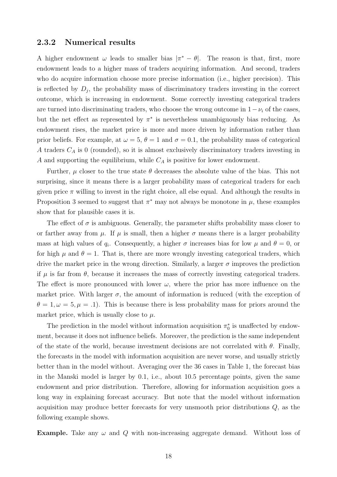#### 2.3.2 Numerical results

A higher endowment  $\omega$  leads to smaller bias  $|\pi^* - \theta|$ . The reason is that, first, more endowment leads to a higher mass of traders acquiring information. And second, traders who do acquire information choose more precise information (i.e., higher precision). This is reflected by  $D_j$ , the probability mass of discriminatory traders investing in the correct outcome, which is increasing in endowment. Some correctly investing categorical traders are turned into discriminating traders, who choose the wrong outcome in  $1-\nu_i$  of the cases, but the net effect as represented by  $\pi^*$  is nevertheless unambiguously bias reducing. As endowment rises, the market price is more and more driven by information rather than prior beliefs. For example, at  $\omega = 5$ ,  $\theta = 1$  and  $\sigma = 0.1$ , the probability mass of categorical A traders  $C_A$  is 0 (rounded), so it is almost exclusively discriminatory traders investing in A and supporting the equilibrium, while  $C_A$  is positive for lower endowment.

Further,  $\mu$  closer to the true state  $\theta$  decreases the absolute value of the bias. This not surprising, since it means there is a larger probability mass of categorical traders for each given price  $\pi$  willing to invest in the right choice, all else equal. And although the results in Proposition [3](#page-15-0) seemed to suggest that  $\pi^*$  may not always be monotone in  $\mu$ , these examples show that for plausible cases it is.

The effect of  $\sigma$  is ambiguous. Generally, the parameter shifts probability mass closer to or farther away from  $\mu$ . If  $\mu$  is small, then a higher  $\sigma$  means there is a larger probability mass at high values of  $q_i$ . Consequently, a higher  $\sigma$  increases bias for low  $\mu$  and  $\theta = 0$ , or for high  $\mu$  and  $\theta = 1$ . That is, there are more wrongly investing categorical traders, which drive the market price in the wrong direction. Similarly, a larger  $\sigma$  improves the prediction if  $\mu$  is far from  $\theta$ , because it increases the mass of correctly investing categorical traders. The effect is more pronounced with lower  $\omega$ , where the prior has more influence on the market price. With larger  $\sigma$ , the amount of information is reduced (with the exception of  $\theta = 1, \omega = 5, \mu = .1$ ). This is because there is less probability mass for priors around the market price, which is usually close to  $\mu$ .

The prediction in the model without information acquisition  $\pi_0^*$  is unaffected by endowment, because it does not influence beliefs. Moreover, the prediction is the same independent of the state of the world, because investment decisions are not correlated with  $\theta$ . Finally, the forecasts in the model with information acquisition are never worse, and usually strictly better than in the model without. Averaging over the 36 cases in Table [1,](#page-17-0) the forecast bias in the Manski model is larger by 0.1, i.e., about 10.5 percentage points, given the same endowment and prior distribution. Therefore, allowing for information acquisition goes a long way in explaining forecast accuracy. But note that the model without information acquisition may produce better forecasts for very unsmooth prior distributions Q, as the following example shows.

**Example.** Take any  $\omega$  and Q with non-increasing aggregate demand. Without loss of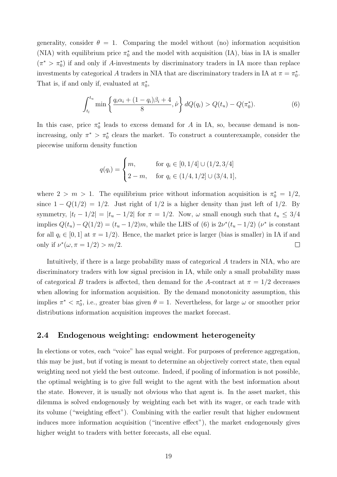generality, consider  $\theta = 1$ . Comparing the model without (no) information acquisition (NIA) with equilibrium price  $\pi_0^*$  and the model with acquisition (IA), bias in IA is smaller  $(\pi^* > \pi_0^*)$  if and only if A-investments by discriminatory traders in IA more than replace investments by categorical A traders in NIA that are discriminatory traders in IA at  $\pi = \pi_0^*$ . That is, if and only if, evaluated at  $\pi_0^*$ ,

<span id="page-19-0"></span>
$$
\int_{t_l}^{t_u} \min\left\{\frac{q_i\alpha_i + (1-q_i)\beta_i + 4}{8}, \hat{\nu}\right\} dQ(q_i) > Q(t_u) - Q(\pi_0^*).
$$
 (6)

In this case, price  $\pi_0^*$  leads to excess demand for A in IA, so, because demand is nonincreasing, only  $\pi^* > \pi_0^*$  clears the market. To construct a counterexample, consider the piecewise uniform density function

$$
q(q_i) = \begin{cases} m, & \text{for } q_i \in [0, 1/4] \cup (1/2, 3/4] \\ 2 - m, & \text{for } q_i \in (1/4, 1/2] \cup (3/4, 1], \end{cases}
$$

where  $2 > m > 1$ . The equilibrium price without information acquisition is  $\pi_0^* = 1/2$ , since  $1 - Q(1/2) = 1/2$ . Just right of  $1/2$  is a higher density than just left of  $1/2$ . By symmetry,  $|t_1 - 1/2| = |t_u - 1/2|$  for  $\pi = 1/2$ . Now,  $\omega$  small enough such that  $t_u \leq 3/4$ implies  $Q(t_u) - Q(1/2) = (t_u - 1/2)m$ , while the LHS of [\(6\)](#page-19-0) is  $2\nu^*(t_u - 1/2)$  ( $\nu^*$  is constant for all  $q_i \in [0, 1]$  at  $\pi = 1/2$ ). Hence, the market price is larger (bias is smaller) in IA if and only if  $\nu^*(\omega, \pi = 1/2) > m/2$ .  $\Box$ 

Intuitively, if there is a large probability mass of categorical A traders in NIA, who are discriminatory traders with low signal precision in IA, while only a small probability mass of categorical B traders is affected, then demand for the A-contract at  $\pi = 1/2$  decreases when allowing for information acquisition. By the demand monotonicity assumption, this implies  $\pi^* < \pi_0^*$ , i.e., greater bias given  $\theta = 1$ . Nevertheless, for large  $\omega$  or smoother prior distributions information acquisition improves the market forecast.

#### 2.4 Endogenous weighting: endowment heterogeneity

In elections or votes, each "voice" has equal weight. For purposes of preference aggregation, this may be just, but if voting is meant to determine an objectively correct state, then equal weighting need not yield the best outcome. Indeed, if pooling of information is not possible, the optimal weighting is to give full weight to the agent with the best information about the state. However, it is usually not obvious who that agent is. In the asset market, this dilemma is solved endogenously by weighting each bet with its wager, or each trade with its volume ("weighting effect"). Combining with the earlier result that higher endowment induces more information acquisition ("incentive effect"), the market endogenously gives higher weight to traders with better forecasts, all else equal.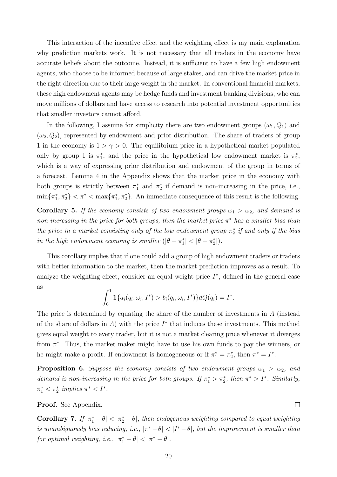This interaction of the incentive effect and the weighting effect is my main explanation why prediction markets work. It is not necessary that all traders in the economy have accurate beliefs about the outcome. Instead, it is sufficient to have a few high endowment agents, who choose to be informed because of large stakes, and can drive the market price in the right direction due to their large weight in the market. In conventional financial markets, these high endowment agents may be hedge funds and investment banking divisions, who can move millions of dollars and have access to research into potential investment opportunities that smaller investors cannot afford.

In the following, I assume for simplicity there are two endowment groups  $(\omega_1, Q_1)$  and  $(\omega_2, Q_2)$ , represented by endowment and prior distribution. The share of traders of group 1 in the economy is  $1 > \gamma > 0$ . The equilibrium price in a hypothetical market populated only by group 1 is  $\pi_1^*$ , and the price in the hypothetical low endowment market is  $\pi_2^*$ , which is a way of expressing prior distribution and endowment of the group in terms of a forecast. Lemma [4](#page-30-2) in the Appendix shows that the market price in the economy with both groups is strictly between  $\pi_1^*$  and  $\pi_2^*$  if demand is non-increasing in the price, i.e.,  $\min\{\pi_1^*, \pi_2^*\} < \pi^* < \max\{\pi_1^*, \pi_2^*\}$ . An immediate consequence of this result is the following.

**Corollary 5.** If the economy consists of two endowment groups  $\omega_1 > \omega_2$ , and demand is non-increasing in the price for both groups, then the market price  $\pi^*$  has a smaller bias than the price in a market consisting only of the low endowment group  $\pi_2^*$  if and only if the bias in the high endowment economy is smaller  $(|\theta - \pi_1^*| < |\theta - \pi_2^*|)$ .

This corollary implies that if one could add a group of high endowment traders or traders with better information to the market, then the market prediction improves as a result. To analyze the weighting effect, consider an equal weight price  $I^*$ , defined in the general case as

$$
\int_0^1 \mathbf{1}\{a_i(q_i,\omega_i,I^*) > b_i(q_i,\omega_i,I^*)\} dQ(q_i) = I^*.
$$

The price is determined by equating the share of the number of investments in  $A$  (instead of the share of dollars in  $A$ ) with the price  $I^*$  that induces these investments. This method gives equal weight to every trader, but it is not a market clearing price whenever it diverges from  $\pi^*$ . Thus, the market maker might have to use his own funds to pay the winners, or he might make a profit. If endowment is homogeneous or if  $\pi_1^* = \pi_2^*$ , then  $\pi^* = I^*$ .

**Proposition 6.** Suppose the economy consists of two endowment groups  $\omega_1 > \omega_2$ , and demand is non-increasing in the price for both groups. If  $\pi_1^* > \pi_2^*$ , then  $\pi^* > I^*$ . Similarly,  $\pi_1^* < \pi_2^*$  implies  $\pi^* < I^*$ .

Proof. See Appendix.

**Corollary 7.** If  $|\pi_1^* - \theta| < |\pi_2^* - \theta|$ , then endogenous weighting compared to equal weighting is unambiguously bias reducing, i.e.,  $|\pi^* - \theta| < |I^* - \theta|$ , but the improvement is smaller than for optimal weighting, i.e.,  $|\pi_1^* - \theta| < |\pi^* - \theta|$ .

 $\Box$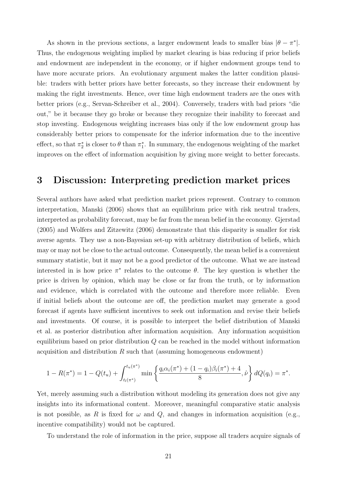As shown in the previous sections, a larger endowment leads to smaller bias  $|\theta - \pi^*|$ . Thus, the endogenous weighting implied by market clearing is bias reducing if prior beliefs and endowment are independent in the economy, or if higher endowment groups tend to have more accurate priors. An evolutionary argument makes the latter condition plausible: traders with better priors have better forecasts, so they increase their endowment by making the right investments. Hence, over time high endowment traders are the ones with better priors (e.g., [Servan-Schreiber et al., 2004\)](#page-32-0). Conversely, traders with bad priors "die out," be it because they go broke or because they recognize their inability to forecast and stop investing. Endogenous weighting increases bias only if the low endowment group has considerably better priors to compensate for the inferior information due to the incentive effect, so that  $\pi_2^*$  is closer to  $\theta$  than  $\pi_1^*$ . In summary, the endogenous weighting of the market improves on the effect of information acquisition by giving more weight to better forecasts.

## <span id="page-21-0"></span>3 Discussion: Interpreting prediction market prices

Several authors have asked what prediction market prices represent. Contrary to common interpretation, [Manski](#page-31-3) [\(2006\)](#page-31-3) shows that an equilibrium price with risk neutral traders, interpreted as probability forecast, may be far from the mean belief in the economy. [Gjerstad](#page-31-8) [\(2005\)](#page-31-8) and [Wolfers and Zitzewitz](#page-32-3) [\(2006\)](#page-32-3) demonstrate that this disparity is smaller for risk averse agents. They use a non-Bayesian set-up with arbitrary distribution of beliefs, which may or may not be close to the actual outcome. Consequently, the mean belief is a convenient summary statistic, but it may not be a good predictor of the outcome. What we are instead interested in is how price  $\pi^*$  relates to the outcome  $\theta$ . The key question is whether the price is driven by opinion, which may be close or far from the truth, or by information and evidence, which is correlated with the outcome and therefore more reliable. Even if initial beliefs about the outcome are off, the prediction market may generate a good forecast if agents have sufficient incentives to seek out information and revise their beliefs and investments. Of course, it is possible to interpret the belief distribution of Manski et al. as posterior distribution after information acquisition. Any information acquisition equilibrium based on prior distribution Q can be reached in the model without information acquisition and distribution  $R$  such that (assuming homogeneous endowment)

$$
1 - R(\pi^*) = 1 - Q(t_u) + \int_{t_l(\pi^*)}^{t_u(\pi^*)} \min\left\{\frac{q_i\alpha_i(\pi^*) + (1 - q_i)\beta_i(\pi^*) + 4}{8}, \hat{\nu}\right\} dQ(q_i) = \pi^*.
$$

Yet, merely assuming such a distribution without modeling its generation does not give any insights into its informational content. Moreover, meaningful comparative static analysis is not possible, as R is fixed for  $\omega$  and Q, and changes in information acquisition (e.g., incentive compatibility) would not be captured.

To understand the role of information in the price, suppose all traders acquire signals of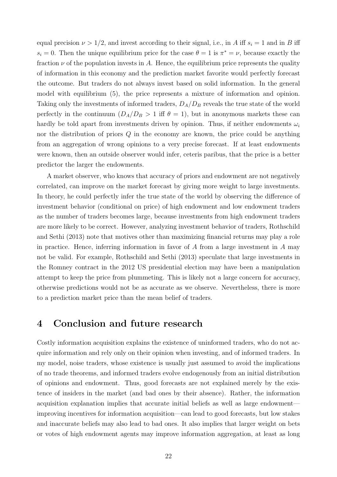equal precision  $\nu > 1/2$ , and invest according to their signal, i.e., in A iff  $s_i = 1$  and in B iff  $s_i = 0$ . Then the unique equilibrium price for the case  $\theta = 1$  is  $\pi^* = \nu$ , because exactly the fraction  $\nu$  of the population invests in A. Hence, the equilibrium price represents the quality of information in this economy and the prediction market favorite would perfectly forecast the outcome. But traders do not always invest based on solid information. In the general model with equilibrium [\(5\)](#page-13-1), the price represents a mixture of information and opinion. Taking only the investments of informed traders,  $D_A/D_B$  reveals the true state of the world perfectly in the continuum  $(D_A/D_B > 1$  iff  $\theta = 1)$ , but in anonymous markets these can hardly be told apart from investments driven by opinion. Thus, if neither endowments  $\omega_i$ nor the distribution of priors  $Q$  in the economy are known, the price could be anything from an aggregation of wrong opinions to a very precise forecast. If at least endowments were known, then an outside observer would infer, ceteris paribus, that the price is a better predictor the larger the endowments.

A market observer, who knows that accuracy of priors and endowment are not negatively correlated, can improve on the market forecast by giving more weight to large investments. In theory, he could perfectly infer the true state of the world by observing the difference of investment behavior (conditional on price) of high endowment and low endowment traders as the number of traders becomes large, because investments from high endowment traders are more likely to be correct. However, analyzing investment behavior of traders, [Rothschild](#page-32-12) [and Sethi](#page-32-12) [\(2013\)](#page-32-12) note that motives other than maximizing financial returns may play a role in practice. Hence, inferring information in favor of  $A$  from a large investment in  $A$  may not be valid. For example, [Rothschild and Sethi](#page-32-12) [\(2013\)](#page-32-12) speculate that large investments in the Romney contract in the 2012 US presidential election may have been a manipulation attempt to keep the price from plummeting. This is likely not a large concern for accuracy, otherwise predictions would not be as accurate as we observe. Nevertheless, there is more to a prediction market price than the mean belief of traders.

## 4 Conclusion and future research

Costly information acquisition explains the existence of uninformed traders, who do not acquire information and rely only on their opinion when investing, and of informed traders. In my model, noise traders, whose existence is usually just assumed to avoid the implications of no trade theorems, and informed traders evolve endogenously from an initial distribution of opinions and endowment. Thus, good forecasts are not explained merely by the existence of insiders in the market (and bad ones by their absence). Rather, the information acquisition explanation implies that accurate initial beliefs as well as large endowment improving incentives for information acquisition—can lead to good forecasts, but low stakes and inaccurate beliefs may also lead to bad ones. It also implies that larger weight on bets or votes of high endowment agents may improve information aggregation, at least as long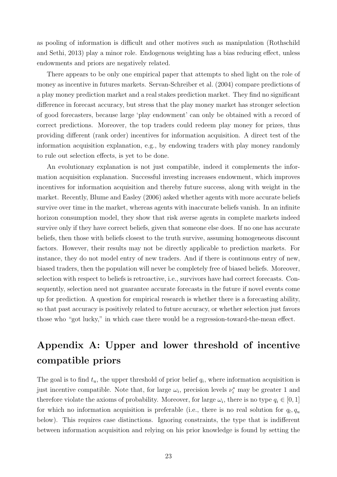as pooling of information is difficult and other motives such as manipulation [\(Rothschild](#page-32-12) [and Sethi, 2013\)](#page-32-12) play a minor role. Endogenous weighting has a bias reducing effect, unless endowments and priors are negatively related.

There appears to be only one empirical paper that attempts to shed light on the role of money as incentive in futures markets. [Servan-Schreiber et al.](#page-32-0) [\(2004\)](#page-32-0) compare predictions of a play money prediction market and a real stakes prediction market. They find no significant difference in forecast accuracy, but stress that the play money market has stronger selection of good forecasters, because large 'play endowment' can only be obtained with a record of correct predictions. Moreover, the top traders could redeem play money for prizes, thus providing different (rank order) incentives for information acquisition. A direct test of the information acquisition explanation, e.g., by endowing traders with play money randomly to rule out selection effects, is yet to be done.

An evolutionary explanation is not just compatible, indeed it complements the information acquisition explanation. Successful investing increases endowment, which improves incentives for information acquisition and thereby future success, along with weight in the market. Recently, [Blume and Easley](#page-31-14) [\(2006\)](#page-31-14) asked whether agents with more accurate beliefs survive over time in the market, whereas agents with inaccurate beliefs vanish. In an infinite horizon consumption model, they show that risk averse agents in complete markets indeed survive only if they have correct beliefs, given that someone else does. If no one has accurate beliefs, then those with beliefs closest to the truth survive, assuming homogeneous discount factors. However, their results may not be directly applicable to prediction markets. For instance, they do not model entry of new traders. And if there is continuous entry of new, biased traders, then the population will never be completely free of biased beliefs. Moreover, selection with respect to beliefs is retroactive, i.e., survivors have had correct forecasts. Consequently, selection need not guarantee accurate forecasts in the future if novel events come up for prediction. A question for empirical research is whether there is a forecasting ability, so that past accuracy is positively related to future accuracy, or whether selection just favors those who "got lucky," in which case there would be a regression-toward-the-mean effect.

# Appendix A: Upper and lower threshold of incentive compatible priors

The goal is to find  $t_u$ , the upper threshold of prior belief  $q_i$ , where information acquisition is just incentive compatible. Note that, for large  $\omega_i$ , precision levels  $\nu_i^*$  may be greater 1 and therefore violate the axioms of probability. Moreover, for large  $\omega_i$ , there is no type  $q_i \in [0,1]$ for which no information acquisition is preferable (i.e., there is no real solution for  $q_l, q_u$ below). This requires case distinctions. Ignoring constraints, the type that is indifferent between information acquisition and relying on his prior knowledge is found by setting the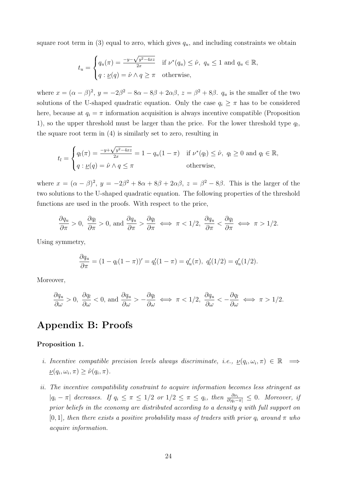square root term in [\(3\)](#page-10-0) equal to zero, which gives  $q_u$ , and including constraints we obtain

$$
t_u = \begin{cases} q_u(\pi) = \frac{-y - \sqrt{y^2 - 4xz}}{2x} & \text{if } \nu^*(q_u) \leq \hat{\nu}, \ q_u \leq 1 \text{ and } q_u \in \mathbb{R}, \\ q: \underline{\nu}(q) = \hat{\nu} \wedge q \geq \pi & \text{otherwise}, \end{cases}
$$

where  $x = (\alpha - \beta)^2$ ,  $y = -2\beta^2 - 8\alpha - 8\beta + 2\alpha\beta$ ,  $z = \beta^2 + 8\beta$ .  $q_u$  is the smaller of the two solutions of the U-shaped quadratic equation. Only the case  $q_i \geq \pi$  has to be considered here, because at  $q_i = \pi$  information acquisition is always incentive compatible (Proposition [1\)](#page-10-1), so the upper threshold must be larger than the price. For the lower threshold type  $q_l$ , the square root term in [\(4\)](#page-10-2) is similarly set to zero, resulting in

$$
t_l = \begin{cases} q_l(\pi) = \frac{-y + \sqrt{y^2 - 4xz}}{2x} = 1 - q_u(1 - \pi) & \text{if } \nu^*(q_l) \leq \hat{\nu}, q_l \geq 0 \text{ and } q_l \in \mathbb{R}, \\ q : \underline{\nu}(q) = \hat{\nu} \wedge q \leq \pi & \text{otherwise}, \end{cases}
$$

where  $x = (\alpha - \beta)^2$ ,  $y = -2\beta^2 + 8\alpha + 8\beta + 2\alpha\beta$ ,  $z = \beta^2 - 8\beta$ . This is the larger of the two solutions to the U-shaped quadratic equation. The following properties of the threshold functions are used in the proofs. With respect to the price,

$$
\frac{\partial q_u}{\partial \pi} > 0, \ \frac{\partial q_l}{\partial \pi} > 0, \text{ and } \frac{\partial q_u}{\partial \pi} > \frac{\partial q_l}{\partial \pi} \iff \pi < 1/2, \ \frac{\partial q_u}{\partial \pi} < \frac{\partial q_l}{\partial \pi} \iff \pi > 1/2.
$$

Using symmetry,

$$
\frac{\partial q_u}{\partial \pi} = (1 - q_l(1 - \pi))' = q'_l(1 - \pi) = q'_u(\pi), \ q'_l(1/2) = q'_u(1/2).
$$

Moreover,

$$
\frac{\partial q_u}{\partial \omega} > 0
$$
,  $\frac{\partial q_l}{\partial \omega} < 0$ , and  $\frac{\partial q_u}{\partial \omega} > -\frac{\partial q_l}{\partial \omega} \iff \pi < 1/2$ ,  $\frac{\partial q_u}{\partial \omega} < -\frac{\partial q_l}{\partial \omega} \iff \pi > 1/2$ .

## Appendix B: Proofs

#### Proposition 1.

- *i.* Incentive compatible precision levels always discriminate, i.e.,  $\underline{\nu}(q_i, \omega_i, \pi) \in \mathbb{R} \implies$  $\underline{\nu}(q_i, \omega_i, \pi) \geq \tilde{\nu}(q_i, \pi).$
- ii. The incentive compatibility constraint to acquire information becomes less stringent as  $|q_i - \pi|$  decreases. If  $q_i \leq \pi \leq 1/2$  or  $1/2 \leq \pi \leq q_i$ , then  $\frac{\partial \nu_i}{\partial |q_i - \pi|} \leq 0$ . Moreover, if prior beliefs in the economy are distributed according to a density q with full support on [0, 1], then there exists a positive probability mass of traders with prior  $q_i$  around  $\pi$  who acquire information.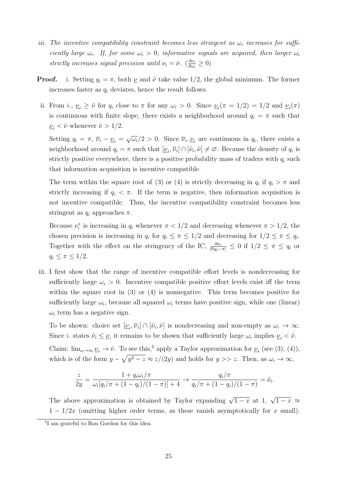- iii. The incentive compatibility constraint becomes less stringent as  $\omega_i$  increases for sufficiently large  $\omega_i$ . If, for some  $\omega_i > 0$ , informative signals are acquired, then larger  $\omega_i$ strictly increases signal precision until  $\nu_i = \hat{\nu}$ .  $\left(\frac{\partial \nu_i}{\partial \omega_i}\right)$  $\frac{\partial \nu_i}{\partial \omega_i} \geq 0$
- **Proof.** i. Setting  $q_i = \pi$ , both  $\nu$  and  $\tilde{\nu}$  take value 1/2, the global minimum. The former increases faster as  $q_i$  deviates, hence the result follows.
- ii. From *i*.,  $\underline{\nu}_i \geq \tilde{\nu}$  for  $q_i$  close to  $\pi$  for any  $\omega_i > 0$ . Since  $\underline{\nu}_i(\pi = 1/2) = 1/2$  and  $\underline{\nu}_i(\pi)$ is continuous with finite slope, there exists a neighborhood around  $q_i = \pi$  such that  $\underline{\nu}_i < \hat{\nu}$  whenever  $\hat{\nu} > 1/2$ .

Setting  $q_i = \pi$ ,  $\overline{\nu}_i - \underline{\nu}_i = \sqrt{\omega_i}/2 > 0$ . Since  $\overline{\nu}_i, \underline{\nu}_i$  are continuous in  $q_i$ , there exists a neighborhood around  $q_i = \pi$  such that  $[\underline{\nu}_i, \overline{\nu}_i] \cap [\tilde{\nu}_i, \hat{\nu}] \neq \emptyset$ . Because the density of  $q_i$  is strictly positive everywhere, there is a positive probability mass of traders with  $q_i$  such that information acquisition is incentive compatible.

The term within the square root of [\(3\)](#page-10-0) or [\(4\)](#page-10-2) is strictly decreasing in  $q_i$  if  $q_i > \pi$  and strictly increasing if  $q_i < \pi$ . If the term is negative, then information acquisition is not incentive compatible. Thus, the incentive compatibility constraint becomes less stringent as  $q_i$  approaches  $\pi$ .

Because  $\nu_i^*$  is increasing in  $q_i$  whenever  $\pi < 1/2$  and decreasing whenever  $\pi > 1/2$ , the chosen precision is increasing in  $q_i$  for  $q_i \leq \pi \leq 1/2$  and decreasing for  $1/2 \leq \pi \leq q_i$ . Together with the effect on the stringency of the IC,  $\frac{\partial v_i}{\partial |q_i-\pi|} \leq 0$  if  $1/2 \leq \pi \leq q_i$  or  $q_i \leq \pi \leq 1/2$ .

iii. I first show that the range of incentive compatible effort levels is nondecreasing for sufficiently large  $\omega_i > 0$ . Incentive compatible positive effort levels exist iff the term within the square root in [\(3\)](#page-10-0) or [\(4\)](#page-10-2) is nonnegative. This term becomes positive for sufficiently large  $\omega_i$ , because all squared  $\omega_i$  terms have positive sign, while one (linear)  $\omega_i$  term has a negative sign.

To be shown: choice set  $[\underline{\nu}_i, \overline{\nu}_i] \cap [\tilde{\nu}_i, \hat{\nu}]$  is nondecreasing and non-empty as  $\omega_i \to \infty$ . Since *i*. states  $\tilde{\nu}_i \leq \underline{\nu}$ , it remains to be shown that sufficiently large  $\omega_i$  implies  $\underline{\nu}_i < \hat{\nu}$ . Claim:  $\lim_{\omega \to \infty} \underline{\nu}_i \to \tilde{\nu}$ . To see this,<sup>[5](#page-25-0)</sup> apply a Taylor approximation for  $\underline{\nu}_i$  (see [\(3\)](#page-10-0), [\(4\)](#page-10-2)), which is of the form  $y - \sqrt{y^2 - z} \approx z/(2y)$  and holds for  $y >> z$ . Then, as  $\omega_i \to \infty$ ,

$$
\frac{z}{2y} = \frac{1 + q_i \omega_i / \pi}{\omega_i [q_i / \pi + (1 - q_i) / (1 - \pi)] + 4} \rightarrow \frac{q_i / \pi}{q_i / \pi + (1 - q_i) / (1 - \pi)} = \tilde{\nu}_i.
$$

The above approximation is obtained by Taylor expanding  $\sqrt{1-x}$  at 1,  $\sqrt{1-x} \approx$  $1 - 1/2x$  (omitting higher order terms, as these vanish asymptotically for x small).

<span id="page-25-0"></span><sup>5</sup> I am grateful to Ron Gordon for this idea.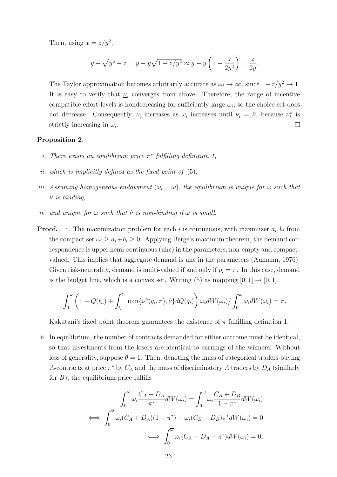Then, using  $x = z/y^2$ ,

$$
y - \sqrt{y^2 - z} = y - y\sqrt{1 - z/y^2} \approx y - y\left(1 - \frac{z}{2y^2}\right) = \frac{z}{2y}.
$$

The Taylor approximation becomes arbitrarily accurate as  $\omega_i \to \infty$ , since  $1-z/y^2 \to 1$ . It is easy to verify that  $\underline{\nu}_i$  converges from above. Therefore, the range of incentive compatible effort levels is nondecreasing for sufficiently large  $\omega_i$ , so the choice set does not decrease. Consequently,  $\nu_i$  increases as  $\omega_i$  increases until  $\nu_i = \hat{\nu}$ , because  $\nu_i^*$  is strictly increasing in  $\omega_i$ .  $\Box$ 

#### Proposition 2.

- i. There exists an equilibrium price  $\pi^*$  fulfilling definition [1,](#page-7-1)
- ii. which is implicitly defined as the fixed point of [\(5\)](#page-13-1).
- iii. Assuming homogeneous endowment  $(\omega_i = \omega)$ , the equilibrium is unique for  $\omega$  such that  $\hat{\nu}$  is binding,
- iv. and unique for  $\omega$  such that  $\hat{\nu}$  is non-binding if  $\omega$  is small.
- **Proof.** i. The maximization problem for each i is continuous, with maximizer  $a_i, b_i$  from the compact set  $\omega_i \geq a_i + b_i \geq 0$ . Applying Berge's maximum theorem, the demand correspondence is upper hemi-continuous (uhc) in the parameters, non-empty and compactvalued. This implies that aggregate demand is uhc in the parameters [\(Aumann, 1976\)](#page-31-15). Given risk-neutrality, demand is multi-valued if and only if  $p_i = \pi$ . In this case, demand is the budget line, which is a convex set. Writing [\(5\)](#page-13-1) as mapping  $[0, 1] \rightarrow [0, 1]$ ,

$$
\int_0^{\overline{\omega}} \left(1 - Q(t_u) + \int_{t_l}^{t_u} \min\{\nu^*(q_i, \pi), \hat{\nu}\} dQ(q_i)\right) \omega_i dW(\omega_i) / \int_0^{\overline{\omega}} \omega_i dW(\omega_i) = \pi,
$$

Kakutani's fixed point theorem guarantees the existence of  $\pi$  fulfilling definition [1.](#page-7-1)

ii. In equilibrium, the number of contracts demanded for either outcome must be identical, so that investments from the losers are identical to earnings of the winners. Without loss of generality, suppose  $\theta = 1$ . Then, denoting the mass of categorical traders buying A-contracts at price  $\pi^*$  by  $C_A$  and the mass of discriminatory A traders by  $D_A$  (similarly for  $B$ ), the equilibrium price fulfills

$$
\int_0^{\overline{\omega}} \omega_i \frac{C_A + D_A}{\pi^*} dW(\omega_i) = \int_0^{\overline{\omega}} \omega_i \frac{C_B + D_B}{1 - \pi^*} dW(\omega_i)
$$
  

$$
\iff \int_0^{\overline{\omega}} \omega_i (C_A + D_A)(1 - \pi^*) - \omega_i (C_B + D_B) \pi^* dW(\omega_i) = 0
$$
  

$$
\iff \int_0^{\overline{\omega}} \omega_i (C_A + D_A - \pi^*) dW(\omega_i) = 0,
$$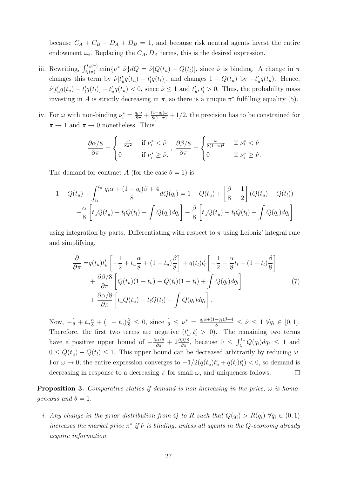because  $C_A + C_B + D_A + D_B = 1$ , and because risk neutral agents invest the entire endowment  $\omega_i$ . Replacing the  $C_A$ ,  $D_A$  terms, this is the desired expression.

- iii. Rewriting,  $\int_{t_l(\pi)}^{t_u(\pi)} \min\{\nu^*, \hat{\nu}\} dQ = \hat{\nu}[Q(t_u) Q(t_l)],$  since  $\hat{\nu}$  is binding. A change in  $\pi$ changes this term by  $\hat{\nu}[t'_u q(t_u) - t'_l q(t_l)]$ , and changes  $1 - Q(t_u)$  by  $-t'_u q(t_u)$ . Hence,  $\hat{\nu}[t_u'q(t_u) - t_l'q(t_l)] - t_u'q(t_u) < 0$ , since  $\hat{\nu} \leq 1$  and  $t_u', t_l' > 0$ . Thus, the probability mass investing in A is strictly decreasing in  $\pi$ , so there is a unique  $\pi^*$  fulfilling equality [\(5\)](#page-13-1).
- iv. For  $\omega$  with non-binding  $\nu_i^* = \frac{q_i \omega}{8\pi} + \frac{(1-q_i)\omega}{8(1-\pi)} + 1/2$ , the precision has to be constrained for  $\pi \to 1$  and  $\pi \to 0$  nonetheless. Thus

$$
\frac{\partial \alpha/8}{\partial \pi} = \begin{cases}\n-\frac{\omega}{8\pi^2} & \text{if } \nu_i^* < \hat{\nu} \\
0 & \text{if } \nu_i^* \geq \hat{\nu}.\n\end{cases},\n\frac{\partial \beta/8}{\partial \pi} = \begin{cases}\n\frac{\omega}{8(1-\pi)^2} & \text{if } \nu_i^* < \hat{\nu} \\
0 & \text{if } \nu_i^* \geq \hat{\nu}.\n\end{cases}
$$

The demand for contract A (for the case  $\theta = 1$ ) is

$$
1 - Q(t_u) + \int_{t_l}^{t_u} \frac{q_i \alpha + (1 - q_i)\beta + 4}{8} dQ(q_i) = 1 - Q(t_u) + \left[\frac{\beta}{8} + \frac{1}{2}\right] (Q(t_u) - Q(t_l))
$$

$$
+ \frac{\alpha}{8} \left[ t_u Q(t_u) - t_l Q(t_l) - \int Q(q_i) dq_i \right] - \frac{\beta}{8} \left[ t_u Q(t_u) - t_l Q(t_l) - \int Q(q_i) dq_i \right]
$$

using integration by parts. Differentiating with respect to  $\pi$  using Leibniz' integral rule and simplifying,

$$
\frac{\partial}{\partial \pi} = q(t_u)t'_u \left[ -\frac{1}{2} + t_u \frac{\alpha}{8} + (1 - t_u) \frac{\beta}{8} \right] + q(t_l)t'_l \left[ -\frac{1}{2} - \frac{\alpha}{8}t_l - (1 - t_l) \frac{\beta}{8} \right] \n+ \frac{\partial \beta/8}{\partial \pi} \left[ Q(t_u)(1 - t_u) - Q(t_l)(1 - t_l) + \int Q(q_i) dq_i \right] \n+ \frac{\partial \alpha/8}{\partial \pi} \left[ t_u Q(t_u) - t_l Q(t_l) - \int Q(q_i) dq_i \right].
$$
\n(7)

Now,  $-\frac{1}{2} + t_u \frac{\alpha}{8} + (1 - t_u) \frac{\beta}{8} \leq 0$ , since  $\frac{1}{2} \leq \nu^* = \frac{q_i \alpha + (1 - q_i)\beta + 4}{8} \leq \hat{\nu} \leq 1 \ \forall q_i \in [0, 1]$ . Therefore, the first two terms are negative  $(t'_u, t'_l > 0)$ . The remaining two terms have a positive upper bound of  $-\frac{\partial \alpha/8}{\partial \pi} + 2 \frac{\partial \beta/8}{\partial \pi}$ , because  $0 \leq \int_{t_l}^{t_u} Q(q_i) dq_i \leq 1$  and  $0 \le Q(t_u) - Q(t_l) \le 1$ . This upper bound can be decreased arbitrarily by reducing  $\omega$ . For  $\omega \to 0$ , the entire expression converges to  $-1/2(q(t_u)t'_u + q(t_l)t'_l) < 0$ , so demand is decreasing in response to a decreasing  $\pi$  for small  $\omega$ , and uniqueness follows. □

**Proposition 3.** Comparative statics if demand is non-increasing in the price,  $\omega$  is homogeneous and  $\theta = 1$ .

i. Any change in the prior distribution from Q to R such that  $Q(q_i) > R(q_i) \ \forall q_i \in (0,1)$ increases the market price  $\pi^*$  if  $\hat{\nu}$  is binding, unless all agents in the Q-economy already acquire information.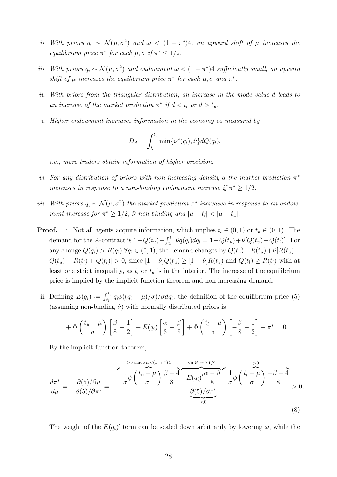- ii. With priors  $q_i \sim \mathcal{N}(\mu, \sigma^2)$  and  $\omega < (1 \pi^*)$ 4, an upward shift of  $\mu$  increases the equilibrium price  $\pi^*$  for each  $\mu, \sigma$  if  $\pi^* \leq 1/2$ .
- iii. With priors  $q_i \sim \mathcal{N}(\mu, \sigma^2)$  and endowment  $\omega < (1 \pi^*)$  sufficiently small, an upward shift of  $\mu$  increases the equilibrium price  $\pi^*$  for each  $\mu, \sigma$  and  $\pi^*$ .
- iv. With priors from the triangular distribution, an increase in the mode value d leads to an increase of the market prediction  $\pi^*$  if  $d < t_l$  or  $d > t_u$ .
- v. Higher endowment increases information in the economy as measured by

$$
D_A = \int_{t_l}^{t_u} \min{\lbrace \nu^*(q_i), \hat{\nu} \rbrace} dQ(q_i),
$$

i.e., more traders obtain information of higher precision.

- vi. For any distribution of priors with non-increasing density q the market prediction  $\pi^*$ increases in response to a non-binding endowment increase if  $\pi^* \geq 1/2$ .
- vii. With priors  $q_i \sim \mathcal{N}(\mu, \sigma^2)$  the market prediction  $\pi^*$  increases in response to an endowment increase for  $\pi^* \geq 1/2$ ,  $\hat{\nu}$  non-binding and  $|\mu - t_l| < |\mu - t_u|$ .
- **Proof.** i. Not all agents acquire information, which implies  $t_l \in (0, 1)$  or  $t_u \in (0, 1)$ . The demand for the A-contract is  $1 - Q(t_u) + \int_{t_l}^{t_u} \hat{\nu}q(q_i) dq_i = 1 - Q(t_u) + \hat{\nu}[Q(t_u) - Q(t_l)].$  For any change  $Q(q_i) > R(q_i) \ \forall q_i \in (0,1)$ , the demand changes by  $Q(t_u) - R(t_u) + \hat{\nu}[R(t_u) - R(t_u)]$  $Q(t_u) - R(t_l) + Q(t_l) > 0$ , since  $[1 - \hat{\nu}]Q(t_u) \geq [1 - \hat{\nu}]R(t_u)$  and  $Q(t_l) \geq R(t_l)$  with at least one strict inequality, as  $t_l$  or  $t_u$  is in the interior. The increase of the equilibrium price is implied by the implicit function theorem and non-increasing demand.
	- ii. Defining  $E(q_i) := \int_{t_l}^{t_u} q_i \phi((q_i \mu)/\sigma) / \sigma dq_i$ , the definition of the equilibrium price [\(5\)](#page-13-1) (assuming non-binding  $\hat{\nu}$ ) with normally distributed priors is

$$
1 + \Phi\left(\frac{t_u - \mu}{\sigma}\right) \left[\frac{\beta}{8} - \frac{1}{2}\right] + E(q_i) \left[\frac{\alpha}{8} - \frac{\beta}{8}\right] + \Phi\left(\frac{t_l - \mu}{\sigma}\right) \left[-\frac{\beta}{8} - \frac{1}{2}\right] - \pi^* = 0.
$$

By the implicit function theorem,

$$
\frac{d\pi^*}{d\mu} = -\frac{\partial(5)/\partial\mu}{\partial(5)/\partial\pi^*} = -\frac{\frac{1}{\sigma}\phi\left(\frac{t_u - \mu}{\sigma}\right)\frac{\beta - 4}{8} + E(q_i)\frac{\alpha - \beta}{8} - \frac{1}{\sigma}\phi\left(\frac{t_l - \mu}{\sigma}\right)\frac{-\beta - 4}{8}}{\frac{\partial(5)/\partial\pi^*}{\zeta_0}} > 0.
$$
\n(8)

The weight of the  $E(q_i)$  term can be scaled down arbitrarily by lowering  $\omega$ , while the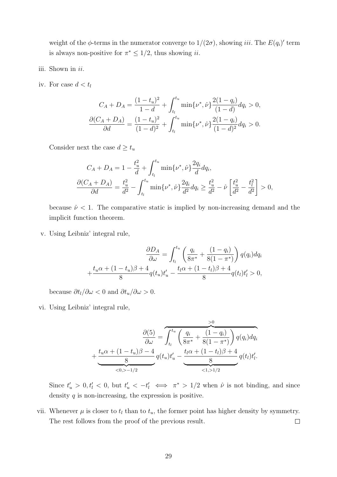weight of the  $\phi$ -terms in the numerator converge to  $1/(2\sigma)$ , showing *iii*. The  $E(q_i)$ ' term is always non-positive for  $\pi^* \leq 1/2$ , thus showing *ii*.

- iii. Shown in ii.
- iv. For case  $d < t_l$

$$
C_A + D_A = \frac{(1 - t_u)^2}{1 - d} + \int_{t_l}^{t_u} \min\{\nu^*, \hat{\nu}\} \frac{2(1 - q_i)}{(1 - d)} dq_i > 0,
$$

$$
\frac{\partial (C_A + D_A)}{\partial d} = \frac{(1 - t_u)^2}{(1 - d)^2} + \int_{t_l}^{t_u} \min\{\nu^*, \hat{\nu}\} \frac{2(1 - q_i)}{(1 - d)^2} dq_i > 0.
$$

Consider next the case  $d \geq t_u$ 

$$
C_A + D_A = 1 - \frac{t_u^2}{d} + \int_{t_l}^{t_u} \min\{\nu^*, \hat{\nu}\} \frac{2q_i}{d} dq_i,
$$
  

$$
\frac{\partial (C_A + D_A)}{\partial d} = \frac{t_u^2}{d^2} - \int_{t_l}^{t_u} \min\{\nu^*, \hat{\nu}\} \frac{2q_i}{d^2} dq_i \ge \frac{t_u^2}{d^2} - \hat{\nu} \left[\frac{t_u^2}{d^2} - \frac{t_l^2}{d^2}\right] > 0,
$$

because  $\hat{\nu}$  < 1. The comparative static is implied by non-increasing demand and the implicit function theorem.

v. Using Leibniz' integral rule,

$$
\frac{\partial D_A}{\partial \omega} = \int_{t_l}^{t_u} \left( \frac{q_i}{8\pi^*} + \frac{(1 - q_i)}{8(1 - \pi^*)} \right) q(q_i) dq_i
$$

$$
+ \frac{t_u \alpha + (1 - t_u)\beta + 4}{8} q(t_u) t_u' - \frac{t_l \alpha + (1 - t_l)\beta + 4}{8} q(t_l) t_l' > 0,
$$

because  $\partial t_l/\partial \omega < 0$  and  $\partial t_u/\partial \omega > 0$ .

vi. Using Leibniz' integral rule,

$$
\frac{\partial(5)}{\partial \omega} = \overbrace{\int_{t_l}^{t_u} \left( \frac{q_i}{8\pi^*} + \frac{(1-q_i)}{8(1-\pi^*)} \right) q(q_i) dq_i}^{>0}
$$

$$
+ \underbrace{\frac{t_u \alpha + (1-t_u)\beta - 4}{8} q(t_u) t_u' - \underbrace{\frac{t_l \alpha + (1-t_l)\beta + 4}{8} q(t_l) t_l'}_{<1,>1/2} q(t_l) t_l'}_{<1,>1/2}.
$$

Since  $t'_u > 0, t'_l < 0$ , but  $t'_u < -t'_l \iff \pi^* > 1/2$  when  $\hat{\nu}$  is not binding, and since density  $q$  is non-increasing, the expression is positive.

vii. Whenever  $\mu$  is closer to  $t_l$  than to  $t_u$ , the former point has higher density by symmetry. The rest follows from the proof of the previous result.  $\Box$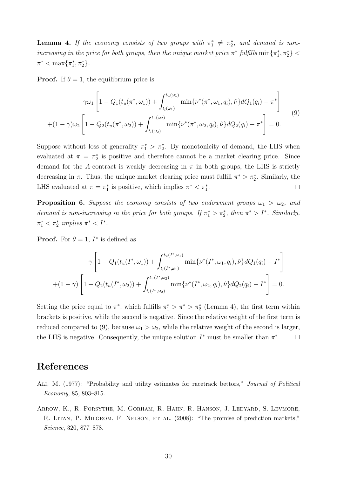<span id="page-30-2"></span>**Lemma 4.** If the economy consists of two groups with  $\pi_1^* \neq \pi_2^*$ , and demand is nonincreasing in the price for both groups, then the unique market price  $\pi^*$  fulfills  $\min\{\pi_1^*, \pi_2^*\}$  $\pi^* < \max\{\pi_1^*, \pi_2^*\}.$ 

**Proof.** If  $\theta = 1$ , the equilibrium price is

<span id="page-30-3"></span>
$$
\gamma \omega_1 \left[ 1 - Q_1(t_u(\pi^*, \omega_1)) + \int_{t_l(\omega_1)}^{t_u(\omega_1)} \min\{\nu^*(\pi^*, \omega_1, q_i), \hat{\nu}\} dQ_1(q_i) - \pi^* \right]
$$
  
+ 
$$
(1 - \gamma) \omega_2 \left[ 1 - Q_2(t_u(\pi^*, \omega_2)) + \int_{t_l(\omega_2)}^{t_u(\omega_2)} \min\{\nu^*(\pi^*, \omega_2, q_i), \hat{\nu}\} dQ_2(q_i) - \pi^* \right] = 0.
$$
 (9)

Suppose without loss of generality  $\pi_1^* > \pi_2^*$ . By monotonicity of demand, the LHS when evaluated at  $\pi = \pi_2^*$  is positive and therefore cannot be a market clearing price. Since demand for the A-contract is weakly decreasing in  $\pi$  in both groups, the LHS is strictly decreasing in  $\pi$ . Thus, the unique market clearing price must fulfill  $\pi^* > \pi_2^*$ . Similarly, the LHS evaluated at  $\pi = \pi_1^*$  is positive, which implies  $\pi^* < \pi_1^*$ .  $\Box$ 

**Proposition 6.** Suppose the economy consists of two endowment groups  $\omega_1 > \omega_2$ , and demand is non-increasing in the price for both groups. If  $\pi_1^* > \pi_2^*$ , then  $\pi^* > I^*$ . Similarly,  $\pi_1^* < \pi_2^*$  implies  $\pi^* < I^*$ .

**Proof.** For  $\theta = 1$ ,  $I^*$  is defined as

$$
\gamma \left[ 1 - Q_1(t_u(I^*, \omega_1)) + \int_{t_l(I^*, \omega_1)}^{t_u(I^*, \omega_1)} \min\{\nu^*(I^*, \omega_1, q_i), \hat{\nu}\} dQ_1(q_i) - I^* \right]
$$

$$
+ (1 - \gamma) \left[ 1 - Q_2(t_u(I^*, \omega_2)) + \int_{t_l(I^*, \omega_2)}^{t_u(I^*, \omega_2)} \min\{\nu^*(I^*, \omega_2, q_i), \hat{\nu}\} dQ_2(q_i) - I^* \right] = 0.
$$

Setting the price equal to  $\pi^*$ , which fulfills  $\pi_1^* > \pi^* > \pi_2^*$  (Lemma [4\)](#page-30-2), the first term within brackets is positive, while the second is negative. Since the relative weight of the first term is reduced compared to [\(9\)](#page-30-3), because  $\omega_1 > \omega_2$ , while the relative weight of the second is larger, the LHS is negative. Consequently, the unique solution  $I^*$  must be smaller than  $\pi^*$ .  $\Box$ 

## References

- <span id="page-30-1"></span>Ali, M. (1977): "Probability and utility estimates for racetrack bettors," Journal of Political Economy, 85, 803–815.
- <span id="page-30-0"></span>Arrow, K., R. Forsythe, M. Gorham, R. Hahn, R. Hanson, J. Ledyard, S. Levmore, R. LITAN, P. MILGROM, F. NELSON, ET AL. (2008): "The promise of prediction markets," Science, 320, 877–878.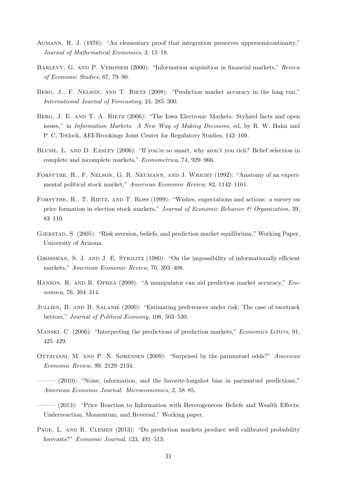- <span id="page-31-15"></span>Aumann, R. J. (1976): "An elementary proof that integration preserves uppersemicontinuity," Journal of Mathematical Economics, 3, 15–18.
- <span id="page-31-11"></span>BARLEVY, G. AND P. VERONESI (2000): "Information acquisition in financial markets," Review of Economic Studies, 67, 79–90.
- <span id="page-31-1"></span>BERG, J., F. NELSON, AND T. RIETZ (2008): "Prediction market accuracy in the long run," International Journal of Forecasting, 24, 285–300.
- <span id="page-31-2"></span>BERG, J. E. AND T. A. RIETZ (2006): "The Iowa Electronic Markets: Stylized facts and open issues," in Information Markets: A New Way of Making Decisions, ed. by R. W. Hahn and P. C. Tetlock, AEI-Brookings Joint Center for Regulatory Studies, 142–169.
- <span id="page-31-14"></span>Blume, L. and D. Easley (2006): "If you're so smart, why aren't you rich? Belief selection in complete and incomplete markets," Econometrica, 74, 929–966.
- <span id="page-31-0"></span>Forsythe, R., F. Nelson, G. R. Neumann, and J. Wright (1992): "Anatomy of an experimental political stock market," American Economic Review, 82, 1142–1161.
- <span id="page-31-12"></span>FORSYTHE, R., T. RIETZ, AND T. ROSS (1999): "Wishes, expectations and actions: a survey on price formation in election stock markets," Journal of Economic Behavior & Organization, 39, 83–110.
- <span id="page-31-8"></span>Gjerstad, S. (2005): "Risk aversion, beliefs, and prediction market equilibrium," Working Paper, University of Arizona.
- <span id="page-31-10"></span>GROSSMAN, S. J. AND J. E. STIGLITZ (1980): "On the impossibility of informationally efficient markets," American Economic Review, 70, 393–408.
- <span id="page-31-9"></span>HANSON, R. AND R. OPREA (2009): "A manipulator can aid prediction market accuracy," Economica, 76, 304–314.
- <span id="page-31-13"></span>JULLIEN, B. AND B. SALANIÉ (2000): "Estimating preferences under risk: The case of racetrack bettors," Journal of Political Economy, 108, 503–530.
- <span id="page-31-3"></span>MANSKI, C. (2006): "Interpreting the predictions of prediction markets," *Economics Letters*, 91, 425–429.
- <span id="page-31-4"></span>Ottaviani, M. and P. N. Sørensen (2009): "Surprised by the parimutuel odds?" American Economic Review, 99, 2129–2134.
- <span id="page-31-7"></span>——— (2010): "Noise, information, and the favorite-longshot bias in parimutuel predictions," American Economic Journal: Microeconomics, 2, 58–85.
- <span id="page-31-5"></span> $(2013)$ : "Price Reaction to Information with Heterogeneous Beliefs and Wealth Effects: Underreaction, Momentum, and Reversal," Working paper.
- <span id="page-31-6"></span>PAGE, L. AND R. CLEMEN (2013): "Do prediction markets produce well calibrated probability forecasts?" Economic Journal, 123, 491–513.